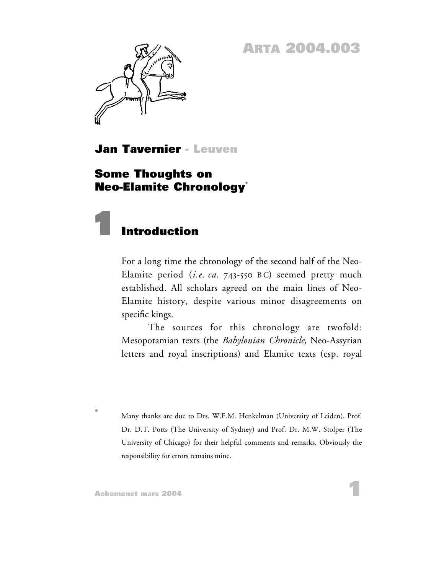**ARTA 2004.003**



**Jan Tavernier - Leuven**

### **Some Thoughts on Neo-Elamite Chronology\***



For a long time the chronology of the second half of the Neo-Elamite period (*i.e. ca.* 743-550 B C) seemed pretty much established. All scholars agreed on the main lines of Neo-Elamite history, despite various minor disagreements on specific kings.

The sources for this chronology are twofold: Mesopotamian texts (the *Babylonian Chronicle*, Neo-Assyrian letters and royal inscriptions) and Elamite texts (esp. royal

**\*** Many thanks are due to Drs. W.F.M. Henkelman (University of Leiden), Prof. Dr. D.T. Potts (The University of Sydney) and Prof. Dr. M.W. Stolper (The University of Chicago) for their helpful comments and remarks. Obviously the responsibility for errors remains mine.

**1**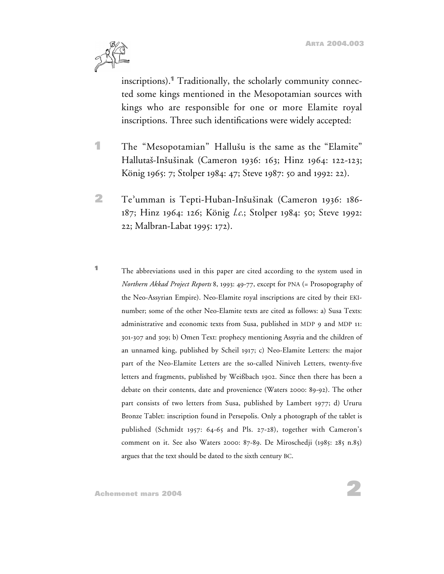<span id="page-1-0"></span>

inscriptions).**<sup>1</sup>** Traditionally, the scholarly community connected some kings mentioned in the Mesopotamian sources with kings who are responsible for one or more Elamite royal inscriptions. Three such identifications were widely accepted:

- **1** The "Mesopotamian" Hallusu is the same as the "Elamite" Hallutas-Insusinak (Cameron 1936: 163; Hinz 1964: 122-123; König 1965: 7; Stolper 1984: 47; Steve 1987: 50 and 1992: 22).
- **2** Te'umman is Tepti-Huban-Insusinak (Cameron 1936: 186- 187; Hinz 1964: 126; König *l.c.*; Stolper 1984: 50; Steve 1992: 22; Malbran-Labat 1995: 172).
- **<sup>1</sup>** The abbreviations used in this paper are cited according to the system used in *Northern Akkad Project Reports* 8, 1993: 49-77, except for PNA (= Prosopography of the Neo-Assyrian Empire). Neo-Elamite royal inscriptions are cited by their EKInumber; some of the other Neo-Elamite texts are cited as follows: a) Susa Texts: administrative and economic texts from Susa, published in MDP 9 and MDP 11: 301-307 and 309; b) Omen Text: prophecy mentioning Assyria and the children of an unnamed king, published by Scheil 1917; c) Neo-Elamite Letters: the major part of the Neo-Elamite Letters are the so-called Niniveh Letters, twenty-five letters and fragments, published by Weißbach 1902. Since then there has been a debate on their contents, date and provenience (Waters 2000: 89-92). The other part consists of two letters from Susa, published by Lambert 1977; d) Ururu Bronze Tablet: inscription found in Persepolis. Only a photograph of the tablet is published (Schmidt 1957: 64-65 and Pls. 27-28), together with Cameron's comment on it. See also Waters 2000: 87-89. De Miroschedji (1985: 285 n.85) argues that the text should be dated to the sixth century BC.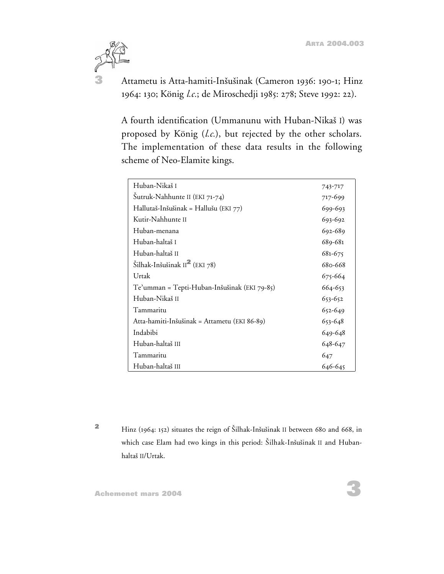

**3** Attametu is Atta-hamiti-Insusinak (Cameron 1936: 190-1; Hinz 1964: 130; König *l.c.*; de Miroschedji 1985: 278; Steve 1992: 22).

A fourth identification (Ummanunu with Huban-Nikas I) was proposed by König (*l.c.*), but rejected by the other scholars. The implementation of these data results in the following scheme of Neo-Elamite kings.

| Huban-Nikaš I                                | 743-717 |
|----------------------------------------------|---------|
| Šutruk-Nahhunte II (EKI 71-74)               | 717-699 |
| Hallutaš-Inšušinak = Hallušu (EKI 77)        | 699-693 |
| Kutir-Nahhunte II                            | 693-692 |
| Huban-menana                                 | 692-689 |
| Huban-haltaš I                               | 689-681 |
| Huban-haltaš II                              | 681-675 |
| Šilhak-Inšušinak II $^2$ (EKI 78)            | 680-668 |
| Urtak                                        | 675-664 |
| Te'umman = Tepti-Huban-Inšušinak (EKI 79-85) | 664-653 |
| Huban-Nikaš II                               | 653-652 |
| Tammaritu                                    | 652-649 |
| Atta-hamiti-Inšušinak = Attametu (EKI 86-89) | 653-648 |
| Indabibi                                     | 649-648 |
| Huban-haltaš III                             | 648-647 |
| Tammaritu                                    | 647     |
| Huban-haltaš III                             | 646-645 |

**<sup>2</sup>** Hinz (1964: 152) situates the reign of Silhak-Insusinak II between 680 and 668, in which case Elam had two kings in this period: Šilhak-Inšušinak II and Hubanhaltas II/Urtak.

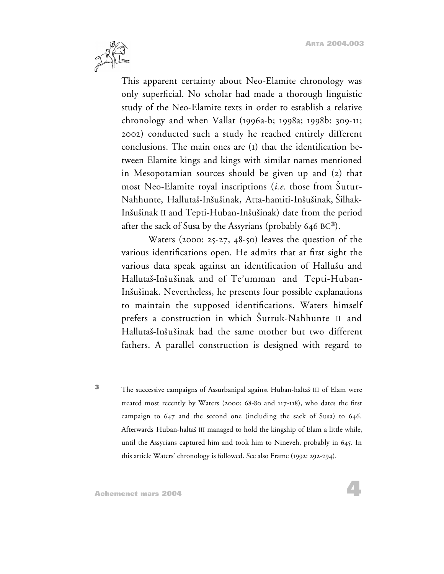**4**



This apparent certainty about Neo-Elamite chronology was only superficial. No scholar had made a thorough linguistic study of the Neo-Elamite texts in order to establish a relative chronology and when Vallat (1996a-b; 1998a; 1998b: 309-11; 2002) conducted such a study he reached entirely different conclusions. The main ones are (1) that the identification between Elamite kings and kings with similar names mentioned in Mesopotamian sources should be given up and (2) that most Neo-Elamite royal inscriptions (*i.e.* those from Sutur-Nahhunte, Hallutas-Insusinak, Atta-hamiti-Insusinak, Silhak-Insusinak II and Tepti-Huban-Insusinak) date from the period after the sack of Susa by the Assyrians (probably 646 BC**<sup>3</sup>**).

Waters (2000: 25-27, 48-50) leaves the question of the various identifications open. He admits that at first sight the various data speak against an identification of Hallusu and Hallutas-Insusinak and of Te'umman and Tepti-Huban-Insusinak. Nevertheless, he presents four possible explanations to maintain the supposed identifications. Waters himself prefers a construction in which Sutruk-Nahhunte II and Hallutas-Insusinak had the same mother but two different fathers. A parallel construction is designed with regard to

**<sup>3</sup>** The successive campaigns of Assurbanipal against Huban-haltas III of Elam were treated most recently by Waters (2000: 68-80 and 117-118), who dates the first campaign to 647 and the second one (including the sack of Susa) to 646. Afterwards Huban-haltas III managed to hold the kingship of Elam a little while, until the Assyrians captured him and took him to Nineveh, probably in 645. In this article Waters' chronology is followed. See also Frame (1992: 292-294).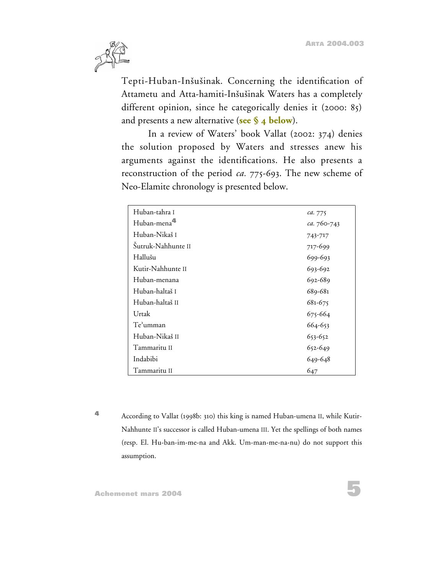

Tepti-Huban-Inšušinak. Concerning the identification of Attametu and Atta-hamiti-Inšušinak Waters has a completely different opinion, since he categorically denies it (2000: 85) and presents a new alternative (**[see § 4 below](#page-21-0)**).

In a review of Waters' book Vallat (2002: 374) denies the solution proposed by Waters and stresses anew his arguments against the identifications. He also presents a reconstruction of the period *ca.* 775-693. The new scheme of Neo-Elamite chronology is presented below.

| Huban-tahra I           | ca. 775     |
|-------------------------|-------------|
| Huban-mena <sup>4</sup> | ca. 760-743 |
| Huban-Nikaš I           | 743-717     |
| Šutruk-Nahhunte II      | 717-699     |
| Hallušu                 | 699-693     |
| Kutir-Nahhunte II       | 693-692     |
| Huban-menana            | 692-689     |
| Huban-haltaš I          | 689-681     |
| Huban-haltaš II         | 681-675     |
| Urtak                   | 675-664     |
| Te'umman                | 664-653     |
| Huban-Nikaš II          | 653-652     |
| Tammaritu II            | 652-649     |
| Indabibi                | 649-648     |
| Tammaritu II            | 647         |

**<sup>4</sup>** According to Vallat (1998b: 310) this king is named Huban-umena II, while Kutir-Nahhunte II's successor is called Huban-umena III. Yet the spellings of both names (resp. El. Hu-ban-im-me-na and Akk. Um-man-me-na-nu) do not support this assumption.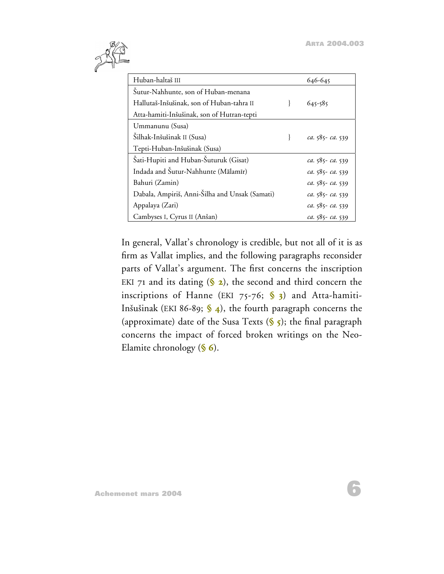**6**



| Huban-haltaš III                               | 646-645           |
|------------------------------------------------|-------------------|
| Sutur-Nahhunte, son of Huban-menana            |                   |
| Hallutaš-Inšušinak, son of Huban-tahra II      | $645 - 585$       |
| Atta-hamiti-Inšušinak, son of Hutran-tepti     |                   |
| Ummanunu (Susa)                                |                   |
| Šilhak-Inšušinak II (Susa)                     | ca. 585- ca. 539  |
| Tepti-Huban-Inšušinak (Susa)                   |                   |
| Šati-Hupiti and Huban-Šuturuk (Gisat)          | ca. 585 - ca. 539 |
| Indada and Šutur-Nahhunte (Mālamīr)            | ca. 585-ca. 539   |
| Bahuri (Zamin)                                 | ca. 585-ca. 539   |
| Dabala, Ampiriš, Anni-Šilha and Unsak (Samati) | ca. 585 - ca. 539 |
| Appalaya (Zari)                                | ca. 585 - ca. 539 |
| Cambyses I, Cyrus II (Anšan)                   | ca. 585-ca. 539   |

In general, Vallat's chronology is credible, but not all of it is as firm as Vallat implies, and the following paragraphs reconsider parts of Vallat's argument. The first concerns the inscription EKI 71 and its dating  $(\S$  2), the second and third concern the inscriptions of Hanne (EKI 75-76; **[§ 3](#page-15-0)**) and Atta-hamiti-Insusinak (EKI 86-89; **[§ 4](#page-21-0)**), the fourth paragraph concerns the (approximate) date of the Susa Texts (**[§ 5](#page-29-0)**); the final paragraph concerns the impact of forced broken writings on the Neo-Elamite chronology (**[§ 6](#page-31-0)**).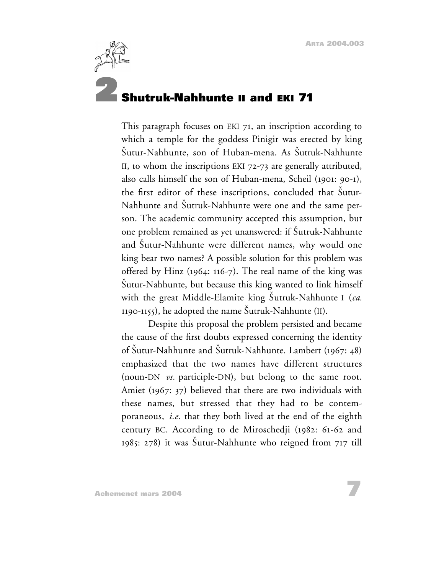<span id="page-6-0"></span>

### **2 Shutruk-Nahhunte II and EKI 71**

This paragraph focuses on EKI 71, an inscription according to which a temple for the goddess Pinigir was erected by king Sutur-Nahhunte, son of Huban-mena. As Sutruk-Nahhunte II, to whom the inscriptions EKI 72-73 are generally attributed, also calls himself the son of Huban-mena, Scheil (1901: 90-1), the first editor of these inscriptions, concluded that Šutur-Nahhunte and Sutruk-Nahhunte were one and the same person. The academic community accepted this assumption, but one problem remained as yet unanswered: if Sutruk-Nahhunte and Sutur-Nahhunte were different names, why would one king bear two names? A possible solution for this problem was offered by Hinz (1964: 116-7). The real name of the king was Sutur-Nahhunte, but because this king wanted to link himself with the great Middle-Elamite king Sutruk-Nahhunte I (*ca.* 1190-1155), he adopted the name Sutruk-Nahhunte (II).

Despite this proposal the problem persisted and became the cause of the first doubts expressed concerning the identity of Sutur-Nahhunte and Sutruk-Nahhunte. Lambert (1967: 48) emphasized that the two names have different structures (noun-DN *vs.* participle-DN), but belong to the same root. Amiet (1967: 37) believed that there are two individuals with these names, but stressed that they had to be contemporaneous, *i.e.* that they both lived at the end of the eighth century BC. According to de Miroschedji (1982: 61-62 and 1985: 278) it was Sutur-Nahhunte who reigned from 717 till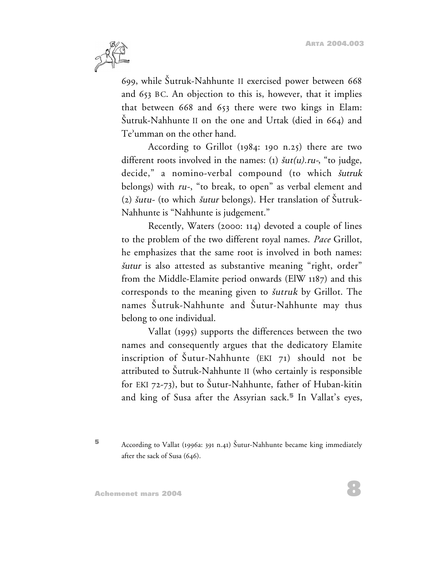

699, while Sutruk-Nahhunte II exercised power between 668 and 653 BC. An objection to this is, however, that it implies that between 668 and 653 there were two kings in Elam: Sutruk-Nahhunte II on the one and Urtak (died in 664) and Te'umman on the other hand.

According to Grillot (1984: 190 n.25) there are two different roots involved in the names: (1)  $\delta u t(u)$ .ru-, "to judge, decide," a nomino-verbal compound (to which *šutruk* belongs) with ru-, "to break, to open" as verbal element and (2)  $\delta$ utu- (to which  $\delta$ utur belongs). Her translation of  $\delta$ utruk-Nahhunte is "Nahhunte is judgement."

Recently, Waters (2000: 114) devoted a couple of lines to the problem of the two different royal names. *Pace* Grillot, he emphasizes that the same root is involved in both names: <sup>s</sup>utur is also attested as substantive meaning "right, order" from the Middle-Elamite period onwards (ElW 1187) and this corresponds to the meaning given to *šutruk* by Grillot. The names Sutruk-Nahhunte and Sutur-Nahhunte may thus belong to one individual.

Vallat (1995) supports the differences between the two names and consequently argues that the dedicatory Elamite inscription of  $\text{\r{S}}$ utur-Nahhunte (EKI 71) should not be attributed to Sutruk-Nahhunte II (who certainly is responsible for EKI 72-73), but to Šutur-Nahhunte, father of Huban-kitin and king of Susa after the Assyrian sack.**<sup>5</sup>** In Vallat's eyes,

**<sup>5</sup>** According to Vallat (1996a: 391 n.41) Sutur-Nahhunte became king immediately after the sack of Susa (646).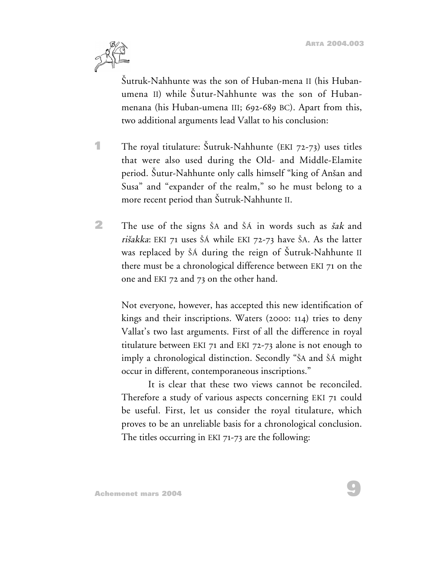

Sutruk-Nahhunte was the son of Huban-mena II (his Hubanumena II) while Sutur-Nahhunte was the son of Hubanmenana (his Huban-umena III; 692-689 BC). Apart from this, two additional arguments lead Vallat to his conclusion:

- **1** The royal titulature: Šutruk-Nahhunte (EKI 72-73) uses titles that were also used during the Old- and Middle-Elamite period. Sutur-Nahhunte only calls himself "king of Ansan and Susa" and "expander of the realm," so he must belong to a more recent period than Sutruk-Nahhunte II.
- **2** The use of the signs ŠA and ŠÁ in words such as *šak* and rišakka: EKI 71 uses ŠÁ while EKI 72-73 have ŠA. As the latter was replaced by SÁ during the reign of Sutruk-Nahhunte II there must be a chronological difference between EKI 71 on the one and EKI 72 and 73 on the other hand.

Not everyone, however, has accepted this new identification of kings and their inscriptions. Waters (2000: 114) tries to deny Vallat's two last arguments. First of all the difference in royal titulature between EKI 71 and EKI 72-73 alone is not enough to imply a chronological distinction. Secondly "SA and SA might occur in different, contemporaneous inscriptions."

It is clear that these two views cannot be reconciled. Therefore a study of various aspects concerning EKI 71 could be useful. First, let us consider the royal titulature, which proves to be an unreliable basis for a chronological conclusion. The titles occurring in EKI 71-73 are the following: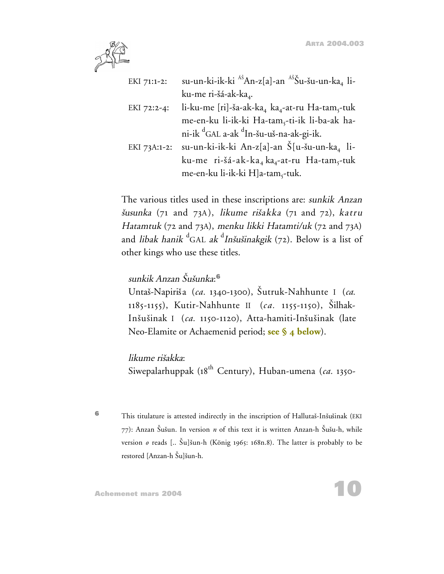

| EKI 71:1-2:  | su-un-ki-ik-ki <sup>As</sup> An-z[a]-an <sup>Aš</sup> Šu-šu-un-ka <sub>4</sub> li-  |
|--------------|-------------------------------------------------------------------------------------|
|              | ku-me ri-šá-ak-ka <sub>4</sub> .                                                    |
| EKI 72:2-4:  | li-ku-me [ri]-ša-ak-ka <sub>4</sub> ka <sub>4</sub> -at-ru Ha-tam <sub>5</sub> -tuk |
|              | me-en-ku li-ik-ki Ha-tam <sub>s</sub> -ti-ik li-ba-ak ha-                           |
|              | ni-ik <sup>d</sup> GAL a-ak <sup>d</sup> In-šu-uš-na-ak-gi-ik.                      |
| EKI 73A:1-2: | su-un-ki-ik-ki An-z[a]-an Š[u-šu-un-ka, li-                                         |
|              | ku-me ri-šá-ak-ka <sub>4</sub> ka <sub>4</sub> -at-ru Ha-tam <sub>5</sub> -tuk      |
|              | me-en-ku li-ik-ki H]a-tam,-tuk.                                                     |

The various titles used in these inscriptions are: sunkik Anzan <sup>s</sup>usunka (71 and 73A), likume risakka (71 and 72), katru Hatamtuk (72 and 73A), menku likki Hatamti/uk (72 and 73A) and *libak hanik* <sup>d</sup>GAL *ak* <sup>d</sup>*Inšušinakgik* (72). Below is a list of other kings who use these titles.

#### sunkik Anzan Susunka: **6**

Untas-Napiris a (*ca.* 1340-1300), Sutruk-Nahhunte I (*ca.* 1185-1155), Kutir-Nahhunte II (*ca.* 1155-1150), Silhak-Inšušinak I (*ca.* 1150-1120), Atta-hamiti-Inšušinak (late Neo-Elamite or Achaemenid period; **[see § 4 below](#page-21-0)**).

#### likume risakka:

Siwepalarhuppak (18th Century), Huban-umena (*ca.* 1350-

**6** This titulature is attested indirectly in the inscription of Hallutaš-Inšušinak (EKI 77): Anzan Susun. In version *n* of this text it is written Anzan-h Susu-h, while version *o* reads [.. Šu]šun-h (König 1965: 168n.8). The latter is probably to be restored [Anzan-h Šu]šun-h.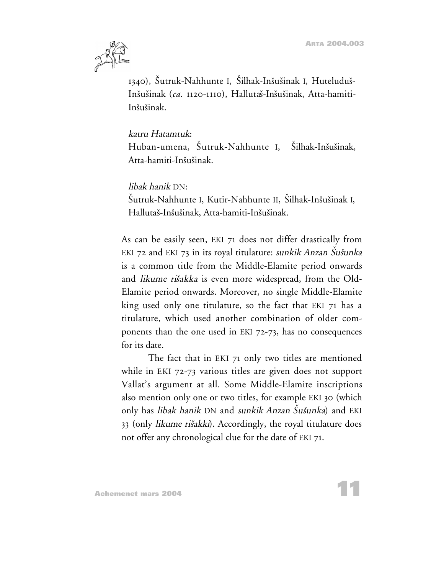

1340), Sutruk-Nahhunte I, Silhak-Insusinak I, Huteludus-Insusinak (*ca.* 1120-1110), Hallutas-Insusinak, Atta-hamiti-Insusinak.

#### katru Hatamtuk:

Huban-umena, Sutruk-Nahhunte I, Silhak-Insusinak, Atta-hamiti-Inšušinak.

#### libak hanik DN:

Sutruk-Nahhunte I, Kutir-Nahhunte II, Silhak-Insusinak I, Hallutas-Insusinak, Atta-hamiti-Insusinak.

As can be easily seen, EKI 71 does not differ drastically from EKI 72 and EKI 73 in its royal titulature: sunkik Anzan Sušunka is a common title from the Middle-Elamite period onwards and likume risakka is even more widespread, from the Old-Elamite period onwards. Moreover, no single Middle-Elamite king used only one titulature, so the fact that EKI 71 has a titulature, which used another combination of older components than the one used in EKI 72-73, has no consequences for its date.

The fact that in EKI 71 only two titles are mentioned while in EKI 72-73 various titles are given does not support Vallat's argument at all. Some Middle-Elamite inscriptions also mention only one or two titles, for example EKI 30 (which only has *libak hanik* DN and sunkik Anzan Sušunka) and EKI 33 (only likume risakki). Accordingly, the royal titulature does not offer any chronological clue for the date of EKI 71.

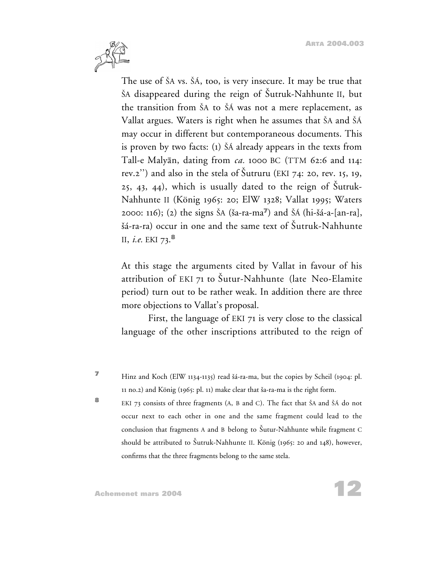

The use of SA vs. SA, too, is very insecure. It may be true that SA disappeared during the reign of Sutruk-Nahhunte II, but the transition from SA to SÁ was not a mere replacement, as Vallat argues. Waters is right when he assumes that SA and SA may occur in different but contemporaneous documents. This is proven by two facts: (1) SÁ already appears in the texts from Tall-e Malyan, dating from *ca.* 1000 BC (TTM 62:6 and 114: rev.2") and also in the stela of Šutruru (EKI 74: 20, rev. 15, 19, 25, 43, 44), which is usually dated to the reign of Sutruk-Nahhunte II (König 1965: 20; ElW 1328; Vallat 1995; Waters 2000: 116); (2) the signs SA (sa-ra-ma**<sup>7</sup>**) and SÁ (hi-sá-a-[an-ra], šá-ra-ra) occur in one and the same text of Šutruk-Nahhunte II, *i.e.* EKI 73.**<sup>8</sup>**

At this stage the arguments cited by Vallat in favour of his attribution of EKI 71 to Sutur-Nahhunte (late Neo-Elamite period) turn out to be rather weak. In addition there are three more objections to Vallat's proposal.

First, the language of EKI 71 is very close to the classical language of the other inscriptions attributed to the reign of

**<sup>7</sup>** Hinz and Koch (ElW 1134-1135) read sá-ra-ma, but the copies by Scheil (1904: pl. 11 no.2) and König (1965: pl. 11) make clear that sa-ra-ma is the right form.

**<sup>8</sup>** EKI 73 consists of three fragments (A, B and C). The fact that ŠA and ŠÁ do not occur next to each other in one and the same fragment could lead to the conclusion that fragments A and B belong to Sutur-Nahhunte while fragment C should be attributed to Sutruk-Nahhunte II. König (1965: 20 and 148), however, confirms that the three fragments belong to the same stela.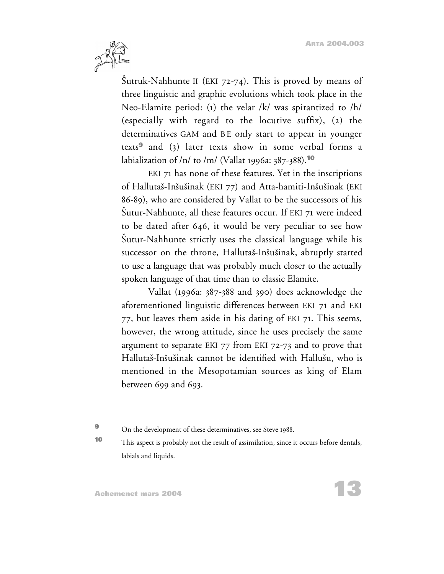

Sutruk-Nahhunte II (EKI 72-74). This is proved by means of three linguistic and graphic evolutions which took place in the Neo-Elamite period: (1) the velar /k/ was spirantized to /h/ (especially with regard to the locutive suffix), (2) the determinatives GAM and BE only start to appear in younger texts**<sup>9</sup>** and (3) later texts show in some verbal forms a labialization of /n/ to /m/ (Vallat 1996a: 387-388).**<sup>10</sup>**

EKI 71 has none of these features. Yet in the inscriptions of Hallutaš-Inšušinak (EKI 77) and Atta-hamiti-Inšušinak (EKI 86-89), who are considered by Vallat to be the successors of his Sutur-Nahhunte, all these features occur. If EKI 71 were indeed to be dated after 646, it would be very peculiar to see how Sutur-Nahhunte strictly uses the classical language while his successor on the throne, Hallutaš-Inšušinak, abruptly started to use a language that was probably much closer to the actually spoken language of that time than to classic Elamite.

Vallat (1996a: 387-388 and 390) does acknowledge the aforementioned linguistic differences between EKI 71 and EKI 77, but leaves them aside in his dating of EKI 71. This seems, however, the wrong attitude, since he uses precisely the same argument to separate EKI 77 from EKI 72-73 and to prove that Hallutas-Insusinak cannot be identified with Hallusu, who is mentioned in the Mesopotamian sources as king of Elam between 699 and 693.

**9** On the development of these determinatives, see Steve 1988.

**<sup>10</sup>** This aspect is probably not the result of assimilation, since it occurs before dentals, labials and liquids.

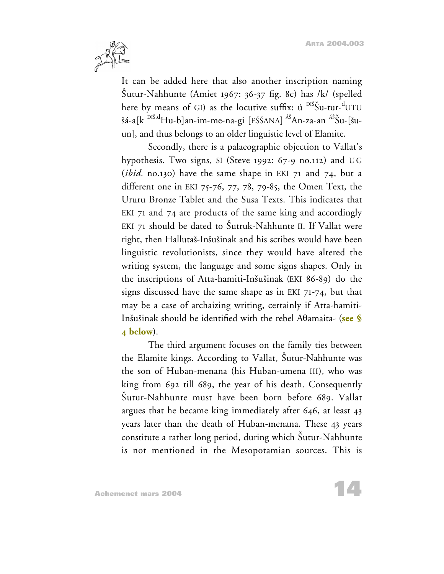

It can be added here that also another inscription naming Sutur-Nahhunte (Amiet 1967: 36-37 fig. 8c) has /k/ (spelled here by means of GI) as the locutive suffix: ú <sup>DIŠ</sup>Šu-tur-<sup>d</sup>UTU šá-a[k <sup>DIŠ.d</sup>Hu-b]an-im-me-na-gi [EŠŠANA] <sup>Aš</sup>An-za-an <sup>Aš</sup>Šu-[šuun], and thus belongs to an older linguistic level of Elamite.

Secondly, there is a palaeographic objection to Vallat's hypothesis. Two signs, SI (Steve 1992:  $67-9$  no.112) and UG (*ibid.* no.130) have the same shape in EKI 71 and 74, but a different one in EKI 75-76, 77, 78, 79-85, the Omen Text, the Ururu Bronze Tablet and the Susa Texts. This indicates that EKI 71 and 74 are products of the same king and accordingly EKI 71 should be dated to Sutruk-Nahhunte II. If Vallat were right, then Hallutaš-Inšušinak and his scribes would have been linguistic revolutionists, since they would have altered the writing system, the language and some signs shapes. Only in the inscriptions of Atta-hamiti-Insusinak (EKI 86-89) do the signs discussed have the same shape as in EKI 71-74, but that may be a case of archaizing writing, certainly if Atta-hamiti-Insusinak should be identified with the rebel Atamaita- (**[see §](#page-21-0) [4 below](#page-21-0)**).

The third argument focuses on the family ties between the Elamite kings. According to Vallat, Sutur-Nahhunte was the son of Huban-menana (his Huban-umena III), who was king from 692 till 689, the year of his death. Consequently Sutur-Nahhunte must have been born before 689. Vallat argues that he became king immediately after 646, at least 43 years later than the death of Huban-menana. These 43 years constitute a rather long period, during which Sutur-Nahhunte is not mentioned in the Mesopotamian sources. This is

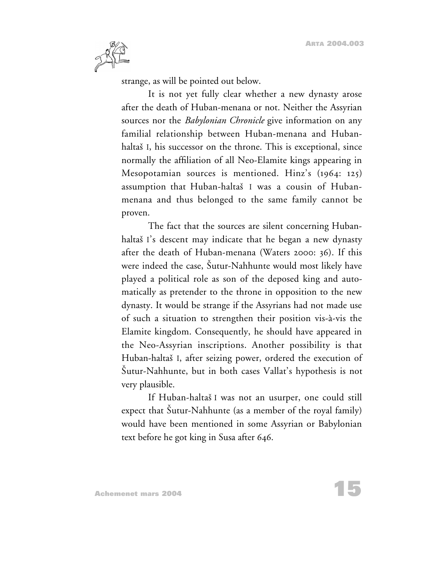

strange, as will be pointed out below.

It is not yet fully clear whether a new dynasty arose after the death of Huban-menana or not. Neither the Assyrian sources nor the *Babylonian Chronicle* give information on any familial relationship between Huban-menana and Hubanhaltaš I, his successor on the throne. This is exceptional, since normally the affiliation of all Neo-Elamite kings appearing in Mesopotamian sources is mentioned. Hinz's (1964: 125) assumption that Huban-haltas I was a cousin of Hubanmenana and thus belonged to the same family cannot be proven.

The fact that the sources are silent concerning Hubanhaltaš I's descent may indicate that he began a new dynasty after the death of Huban-menana (Waters 2000: 36). If this were indeed the case, Sutur-Nahhunte would most likely have played a political role as son of the deposed king and automatically as pretender to the throne in opposition to the new dynasty. It would be strange if the Assyrians had not made use of such a situation to strengthen their position vis-à-vis the Elamite kingdom. Consequently, he should have appeared in the Neo-Assyrian inscriptions. Another possibility is that Huban-haltas I, after seizing power, ordered the execution of Sutur-Nahhunte, but in both cases Vallat's hypothesis is not very plausible.

If Huban-haltas I was not an usurper, one could still expect that Sutur-Nahhunte (as a member of the royal family) would have been mentioned in some Assyrian or Babylonian text before he got king in Susa after 646.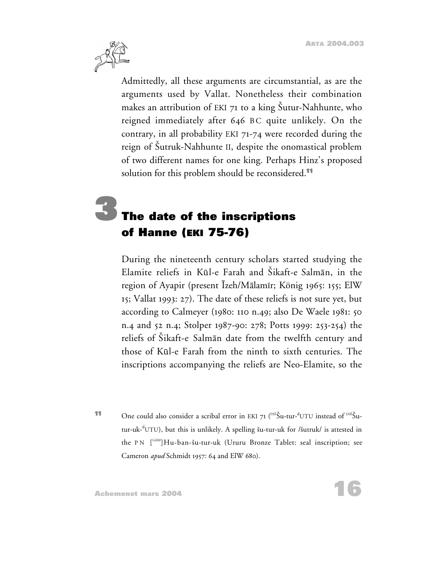<span id="page-15-0"></span>

Admittedly, all these arguments are circumstantial, as are the arguments used by Vallat. Nonetheless their combination makes an attribution of EKI 71 to a king Sutur-Nahhunte, who reigned immediately after 646 BC quite unlikely. On the contrary, in all probability EKI 71-74 were recorded during the reign of Sutruk-Nahhunte II, despite the onomastical problem of two different names for one king. Perhaps Hinz's proposed solution for this problem should be reconsidered.**<sup>11</sup>**

# **3The date of the inscriptions of Hanne (EKI 75-76)**

During the nineteenth century scholars started studying the Elamite reliefs in Kul-e Farah and Sikaft-e Salman, in the region of Ayapir (present Izeh/Malamir; König 1965: 155; ElW 15; Vallat 1993: 27). The date of these reliefs is not sure yet, but according to Calmeyer (1980: 110 n.49; also De Waele 1981: 50 n.4 and 52 n.4; Stolper 1987-90: 278; Potts 1999: 253-254) the reliefs of Sikaft-e Salman date from the twelfth century and those of Kul-e Farah from the ninth to sixth centuries. The inscriptions accompanying the reliefs are Neo-Elamite, so the

**11** One could also consider a scribal error in EKI 71 (<sup>DIŠ</sup>Šu-tur-<sup>d</sup>UTU instead of <sup>DIŠ</sup>Šutur-uk-<sup>d</sup>UTU), but this is unlikely. A spelling šu-tur-uk for /šutruk/ is attested in the PN  $[^{GAM}]$ Hu-ban-šu-tur-uk (Ururu Bronze Tablet: seal inscription; see Cameron *apud* Schmidt 1957: 64 and ElW 680).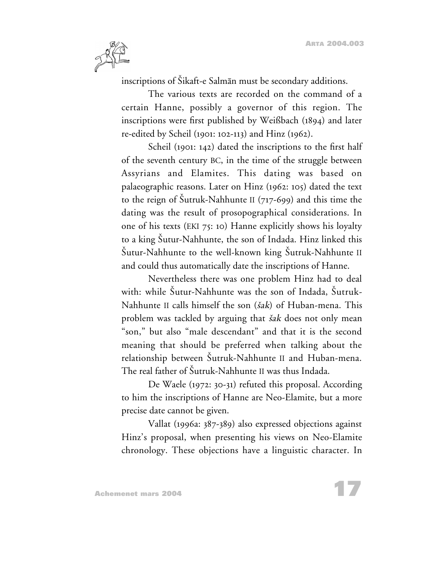

inscriptions of Sikaft-e Salman must be secondary additions.

The various texts are recorded on the command of a certain Hanne, possibly a governor of this region. The inscriptions were first published by Weißbach (1894) and later re-edited by Scheil (1901: 102-113) and Hinz (1962).

Scheil (1901: 142) dated the inscriptions to the first half of the seventh century BC, in the time of the struggle between Assyrians and Elamites. This dating was based on palaeographic reasons. Later on Hinz (1962: 105) dated the text to the reign of Sutruk-Nahhunte II (717-699) and this time the dating was the result of prosopographical considerations. In one of his texts (EKI 75: 10) Hanne explicitly shows his loyalty to a king Sutur-Nahhunte, the son of Indada. Hinz linked this Sutur-Nahhunte to the well-known king Sutruk-Nahhunte II and could thus automatically date the inscriptions of Hanne.

Nevertheless there was one problem Hinz had to deal with: while Sutur-Nahhunte was the son of Indada, Sutruk-Nahhunte II calls himself the son  $(sak)$  of Huban-mena. This problem was tackled by arguing that *šak* does not only mean "son," but also "male descendant" and that it is the second meaning that should be preferred when talking about the relationship between Šutruk-Nahhunte II and Huban-mena. The real father of Sutruk-Nahhunte II was thus Indada.

De Waele (1972: 30-31) refuted this proposal. According to him the inscriptions of Hanne are Neo-Elamite, but a more precise date cannot be given.

Vallat (1996a: 387-389) also expressed objections against Hinz's proposal, when presenting his views on Neo-Elamite chronology. These objections have a linguistic character. In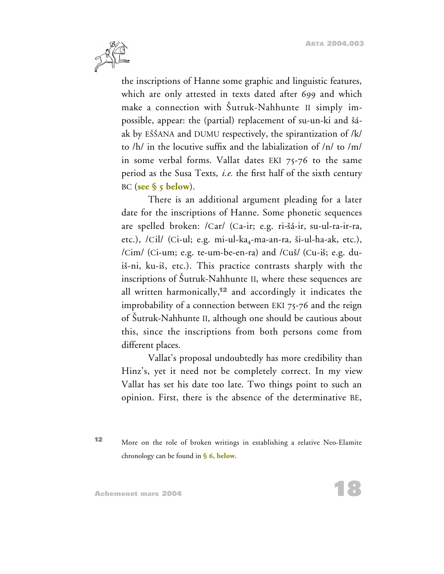

the inscriptions of Hanne some graphic and linguistic features, which are only attested in texts dated after 699 and which make a connection with Sutruk-Nahhunte II simply impossible, appear: the (partial) replacement of su-un-ki and šáak by EŠŠANA and DUMU respectively, the spirantization of /k/ to /h/ in the locutive suffix and the labialization of /n/ to /m/ in some verbal forms. Vallat dates EKI 75-76 to the same period as the Susa Texts, *i.e.* the first half of the sixth century BC (**[see § 5 below](#page-29-0)**).

There is an additional argument pleading for a later date for the inscriptions of Hanne. Some phonetic sequences are spelled broken: /Car/ (Ca-ir; e.g. ri-sá-ir, su-ul-ra-ir-ra, etc.),  $/Cil/$  (Ci-ul; e.g. mi-ul-ka<sub>4</sub>-ma-an-ra, ši-ul-ha-ak, etc.), /Cim/ (Ci-um; e.g. te-um-be-en-ra) and /Cus/ (Cu-is; e.g. duis-ni, ku-is, etc.). This practice contrasts sharply with the inscriptions of Sutruk-Nahhunte II, where these sequences are all written harmonically,**<sup>12</sup>** and accordingly it indicates the improbability of a connection between EKI 75-76 and the reign of Sutruk-Nahhunte II, although one should be cautious about this, since the inscriptions from both persons come from different places.

Vallat's proposal undoubtedly has more credibility than Hinz's, yet it need not be completely correct. In my view Vallat has set his date too late. Two things point to such an opinion. First, there is the absence of the determinative BE,

**<sup>12</sup>** More on the role of broken writings in establishing a relative Neo-Elamite chronology can be found in **[§ 6, below](#page-31-0)**.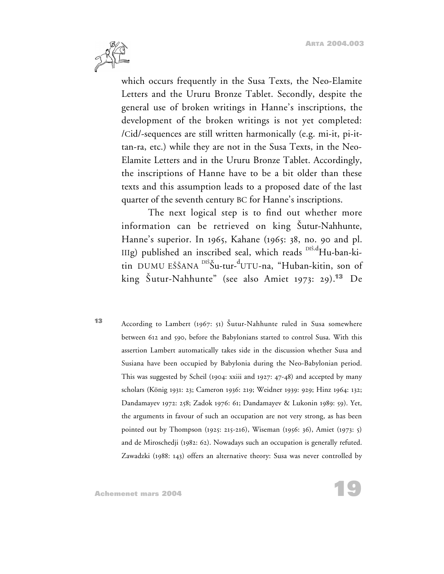

which occurs frequently in the Susa Texts, the Neo-Elamite Letters and the Ururu Bronze Tablet. Secondly, despite the general use of broken writings in Hanne's inscriptions, the development of the broken writings is not yet completed: /Cid/-sequences are still written harmonically (e.g. mi-it, pi-ittan-ra, etc.) while they are not in the Susa Texts, in the Neo-Elamite Letters and in the Ururu Bronze Tablet. Accordingly, the inscriptions of Hanne have to be a bit older than these texts and this assumption leads to a proposed date of the last quarter of the seventh century BC for Hanne's inscriptions.

The next logical step is to find out whether more information can be retrieved on king Sutur-Nahhunte, Hanne's superior. In 1965, Kahane (1965: 38, no. 90 and pl. IIIg) published an inscribed seal, which reads  $\text{dist}_{\text{H}}$ -ban-kitin DUMU EŠŠANA <sup>DIŠ</sup>Šu-tur-<sup>d</sup>UTU-na, "Huban-kitin, son of king Sutur-Nahhunte" (see also Amiet 1973: 29).**<sup>13</sup>** De

**<sup>13</sup>** According to Lambert (1967: 51) Sutur-Nahhunte ruled in Susa somewhere between 612 and 590, before the Babylonians started to control Susa. With this assertion Lambert automatically takes side in the discussion whether Susa and Susiana have been occupied by Babylonia during the Neo-Babylonian period. This was suggested by Scheil (1904: xxiii and 1927: 47-48) and accepted by many scholars (König 1931: 23; Cameron 1936: 219; Weidner 1939: 929; Hinz 1964: 132; Dandamayev 1972: 258; Zadok 1976: 61; Dandamayev & Lukonin 1989: 59). Yet, the arguments in favour of such an occupation are not very strong, as has been pointed out by Thompson (1925: 215-216), Wiseman (1956: 36), Amiet (1973: 5) and de Miroschedji (1982: 62). Nowadays such an occupation is generally refuted. Zawadzki (1988: 143) offers an alternative theory: Susa was never controlled by

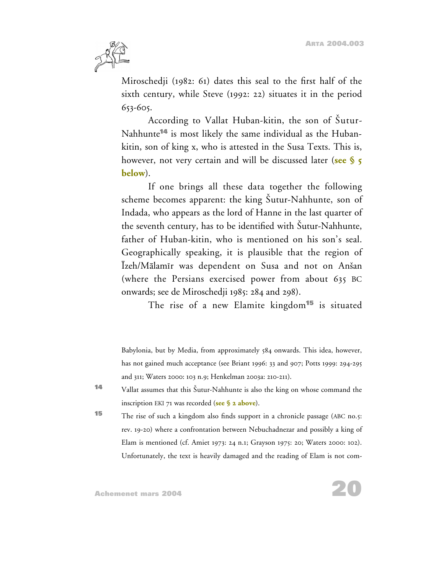

Miroschedji (1982: 61) dates this seal to the first half of the sixth century, while Steve (1992: 22) situates it in the period 653-605.

According to Vallat Huban-kitin, the son of Šutur-Nahhunte**<sup>14</sup>** is most likely the same individual as the Hubankitin, son of king x, who is attested in the Susa Texts. This is, however, not very certain and will be discussed later (**[see § 5](#page-29-0) [below](#page-29-0)**).

If one brings all these data together the following scheme becomes apparent: the king Sutur-Nahhunte, son of Indada, who appears as the lord of Hanne in the last quarter of the seventh century, has to be identified with Sutur-Nahhunte, father of Huban-kitin, who is mentioned on his son's seal. Geographically speaking, it is plausible that the region of Izeh/Malamir was dependent on Susa and not on Ansan (where the Persians exercised power from about 635 BC onwards; see de Miroschedji 1985: 284 and 298).

The rise of a new Elamite kingdom**<sup>15</sup>** is situated

Babylonia, but by Media, from approximately 584 onwards. This idea, however, has not gained much acceptance (see Briant 1996: 33 and 907; Potts 1999: 294-295 and 311; Waters 2000: 103 n.9; Henkelman 2003a: 210-211).

**<sup>14</sup>** Vallat assumes that this Sutur-Nahhunte is also the king on whose command the inscription EKI 71 was recorded (**[see § 2 above](#page-6-0)**).

**<sup>15</sup>** The rise of such a kingdom also finds support in a chronicle passage (ABC no.5: rev. 19-20) where a confrontation between Nebuchadnezar and possibly a king of Elam is mentioned (cf. Amiet 1973: 24 n.1; Grayson 1975: 20; Waters 2000: 102). Unfortunately, the text is heavily damaged and the reading of Elam is not com-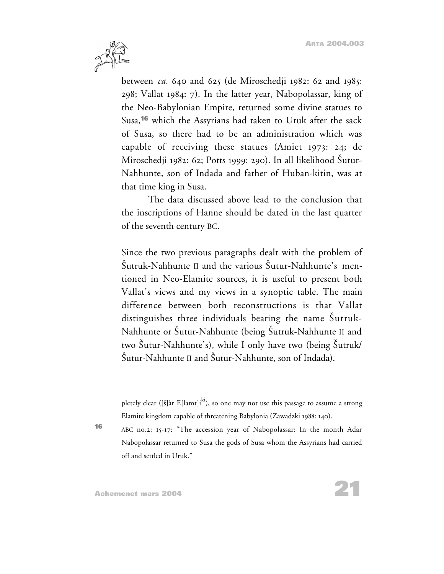

between *ca.* 640 and 625 (de Miroschedji 1982: 62 and 1985: 298; Vallat 1984: 7). In the latter year, Nabopolassar, king of the Neo-Babylonian Empire, returned some divine statues to Susa,**<sup>16</sup>** which the Assyrians had taken to Uruk after the sack of Susa, so there had to be an administration which was capable of receiving these statues (Amiet 1973: 24; de Miroschedji 1982: 62; Potts 1999: 290). In all likelihood Šutur-Nahhunte, son of Indada and father of Huban-kitin, was at that time king in Susa.

The data discussed above lead to the conclusion that the inscriptions of Hanne should be dated in the last quarter of the seventh century BC.

Since the two previous paragraphs dealt with the problem of Sutruk-Nahhunte II and the various Sutur-Nahhunte's mentioned in Neo-Elamite sources, it is useful to present both Vallat's views and my views in a synoptic table. The main difference between both reconstructions is that Vallat distinguishes three individuals bearing the name Šutruk-Nahhunte or Sutur-Nahhunte (being Sutruk-Nahhunte II and two Sutur-Nahhunte's), while I only have two (being Sutruk/ Sutur-Nahhunte II and Sutur-Nahhunte, son of Indada).

pletely clear ([ $\S$ ]àr E[lamt]i<sup>ki</sup>), so one may not use this passage to assume a strong Elamite kingdom capable of threatening Babylonia (Zawadzki 1988: 140).

**<sup>16</sup>** ABC no.2: 15-17: "The accession year of Nabopolassar: In the month Adar Nabopolassar returned to Susa the gods of Susa whom the Assyrians had carried off and settled in Uruk."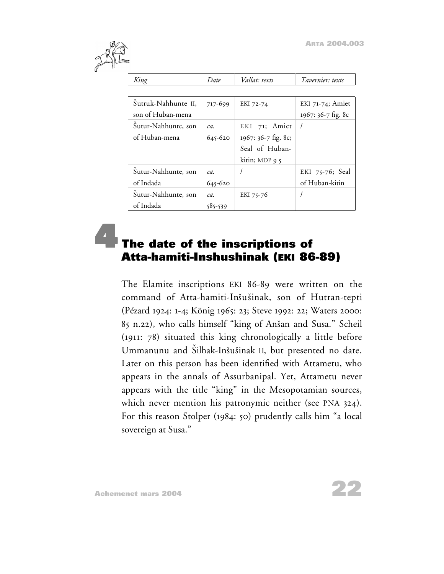<span id="page-21-0"></span>

| King                | Date        | Vallat: texts        | Tavernier: texts   |
|---------------------|-------------|----------------------|--------------------|
|                     |             |                      |                    |
| Sutruk-Nahhunte II, | 717-699     | EKI 72-74            | $EKI$ 71-74; Amiet |
| son of Huban-mena   |             |                      | 1967: 36-7 fig. 8c |
| Sutur-Nahhunte, son | $ca$ .      | EKI 71; Amiet        |                    |
| of Huban-mena       | 645-620     | 1967: 36-7 fig. 8c;  |                    |
|                     |             | Seal of Huban-       |                    |
|                     |             | kitin; MDP 9 $\zeta$ |                    |
| Šutur-Nahhunte, son | ca.         |                      | EKI 75-76; Seal    |
| of Indada           | $645 - 620$ |                      | of Huban-kitin     |
| Šutur-Nahhunte, son | ca.         | EKI 75-76            |                    |
| of Indada           | 585-539     |                      |                    |

### **4The date of the inscriptions of Atta-hamiti-Inshushinak (EKI 86-89)**

The Elamite inscriptions EKI 86-89 were written on the command of Atta-hamiti-Inšušinak, son of Hutran-tepti (Pézard 1924: 1-4; König 1965: 23; Steve 1992: 22; Waters 2000: 85 n.22), who calls himself "king of Ansan and Susa." Scheil (1911: 78) situated this king chronologically a little before Ummanunu and Šilhak-Inšušinak II, but presented no date. Later on this person has been identified with Attametu, who appears in the annals of Assurbanipal. Yet, Attametu never appears with the title "king" in the Mesopotamian sources, which never mention his patronymic neither (see PNA 324). For this reason Stolper (1984: 50) prudently calls him "a local sovereign at Susa."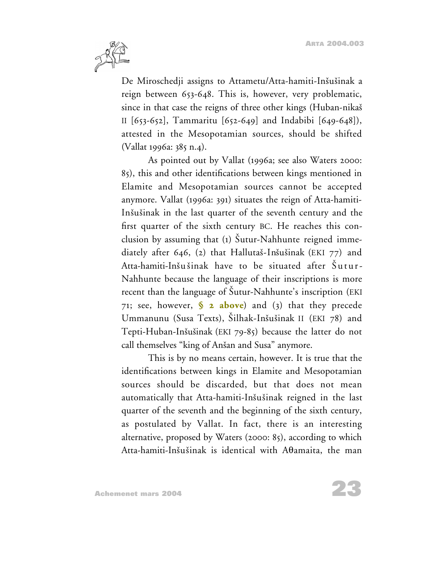

De Miroschedji assigns to Attametu/Atta-hamiti-Inšušinak a reign between 653-648. This is, however, very problematic, since in that case the reigns of three other kings (Huban-nikas II [653-652], Tammaritu [652-649] and Indabibi [649-648]), attested in the Mesopotamian sources, should be shifted (Vallat 1996a: 385 n.4).

As pointed out by Vallat (1996a; see also Waters 2000: 85), this and other identifications between kings mentioned in Elamite and Mesopotamian sources cannot be accepted anymore. Vallat (1996a: 391) situates the reign of Atta-hamiti-Insusinak in the last quarter of the seventh century and the first quarter of the sixth century BC. He reaches this conclusion by assuming that (1) Sutur-Nahhunte reigned immediately after 646, (2) that Hallutaš-Inšušinak (EKI 77) and Atta-hamiti-Inšušinak have to be situated after Šutur-Nahhunte because the language of their inscriptions is more recent than the language of Šutur-Nahhunte's inscription (EKI) 71; see, however, **[§ 2 above](#page-6-0)**) and (3) that they precede Ummanunu (Susa Texts), Silhak-Inšušinak II (EKI 78) and Tepti-Huban-Insusinak (EKI 79-85) because the latter do not call themselves "king of Anšan and Susa" anymore.

This is by no means certain, however. It is true that the identifications between kings in Elamite and Mesopotamian sources should be discarded, but that does not mean automatically that Atta-hamiti-Inšušinak reigned in the last quarter of the seventh and the beginning of the sixth century, as postulated by Vallat. In fact, there is an interesting alternative, proposed by Waters (2000: 85), according to which Atta-hamiti-Inšušinak is identical with A $\theta$ amaita, the man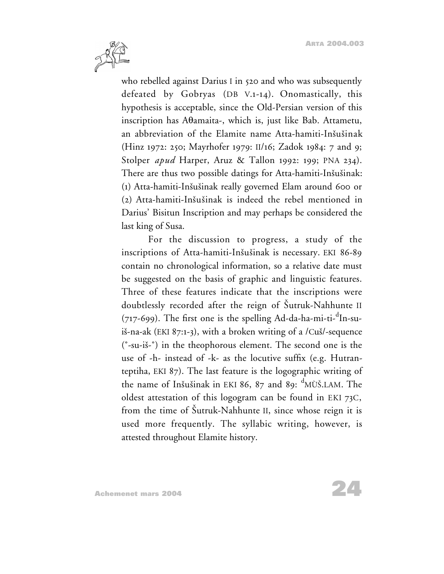

who rebelled against Darius I in 520 and who was subsequently defeated by Gobryas (DB V.1-14). Onomastically, this hypothesis is acceptable, since the Old-Persian version of this inscription has A $\theta$ amaita-, which is, just like Bab. Attametu, an abbreviation of the Elamite name Atta-hamiti-Inšušinak (Hinz 1972: 250; Mayrhofer 1979: II/16; Zadok 1984: 7 and 9; Stolper *apud* Harper, Aruz & Tallon 1992: 199; PNA 234). There are thus two possible datings for Atta-hamiti-Inšušinak: (1) Atta-hamiti-Insusinak really governed Elam around 600 or (2) Atta-hamiti-Insusinak is indeed the rebel mentioned in Darius' Bisitun Inscription and may perhaps be considered the last king of Susa.

For the discussion to progress, a study of the inscriptions of Atta-hamiti-Inšušinak is necessary. EKI 86-89 contain no chronological information, so a relative date must be suggested on the basis of graphic and linguistic features. Three of these features indicate that the inscriptions were doubtlessly recorded after the reign of Šutruk-Nahhunte II (717-699). The first one is the spelling Ad-da-ha-mi-ti-<sup>d</sup>In-suiš-na-ak (EKI 87:1-3), with a broken writing of a  $\ell$ Cuš $\ell$ -sequence (˚-su-is-˚) in the theophorous element. The second one is the use of -h- instead of -k- as the locutive suffix (e.g. Hutranteptiha, EKI 87). The last feature is the logographic writing of the name of Inšušinak in EKI 86, 87 and 89: <sup>d</sup>MÙŠ.LAM. The oldest attestation of this logogram can be found in EKI 73C, from the time of Sutruk-Nahhunte II, since whose reign it is used more frequently. The syllabic writing, however, is attested throughout Elamite history.

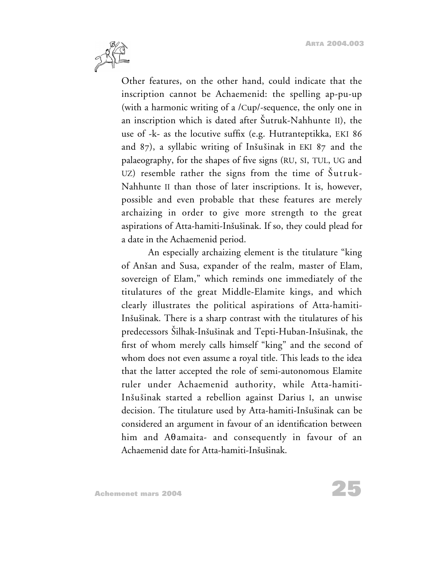

Other features, on the other hand, could indicate that the inscription cannot be Achaemenid: the spelling ap-pu-up (with a harmonic writing of a /Cup/-sequence, the only one in an inscription which is dated after Sutruk-Nahhunte II), the use of -k- as the locutive suffix (e.g. Hutranteptikka, EKI 86 and 87), a syllabic writing of Insusinak in EKI 87 and the palaeography, for the shapes of five signs (RU, SI, TUL, UG and UZ) resemble rather the signs from the time of Sutruk-Nahhunte II than those of later inscriptions. It is, however, possible and even probable that these features are merely archaizing in order to give more strength to the great aspirations of Atta-hamiti-Insusinak. If so, they could plead for a date in the Achaemenid period.

An especially archaizing element is the titulature "king of Ansan and Susa, expander of the realm, master of Elam, sovereign of Elam," which reminds one immediately of the titulatures of the great Middle-Elamite kings, and which clearly illustrates the political aspirations of Atta-hamiti-Insusinak. There is a sharp contrast with the titulatures of his predecessors Silhak-Insusinak and Tepti-Huban-Insusinak, the first of whom merely calls himself "king" and the second of whom does not even assume a royal title. This leads to the idea that the latter accepted the role of semi-autonomous Elamite ruler under Achaemenid authority, while Atta-hamiti-Insusinak started a rebellion against Darius I, an unwise decision. The titulature used by Atta-hamiti-Inšušinak can be considered an argument in favour of an identification between him and A $\theta$ amaita- and consequently in favour of an Achaemenid date for Atta-hamiti-Inšušinak.

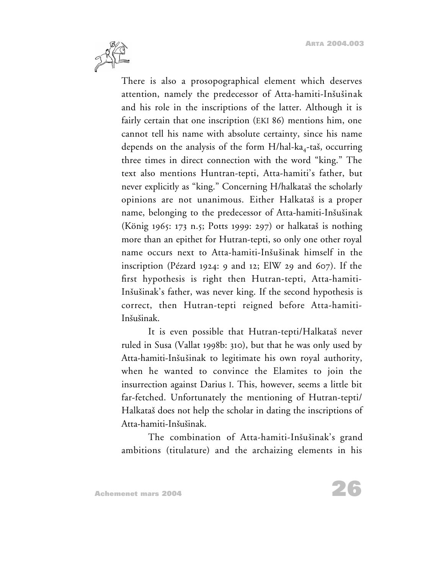

There is also a prosopographical element which deserves attention, namely the predecessor of Atta-hamiti-Inšušinak and his role in the inscriptions of the latter. Although it is fairly certain that one inscription (EKI 86) mentions him, one cannot tell his name with absolute certainty, since his name depends on the analysis of the form  $H/hal-ka_4-ta\dot{s}$ , occurring three times in direct connection with the word "king." The text also mentions Huntran-tepti, Atta-hamiti's father, but never explicitly as "king." Concerning H/halkataš the scholarly opinions are not unanimous. Either Halkatas is a proper name, belonging to the predecessor of Atta-hamiti-Inšušinak (König 1965: 173 n.5; Potts 1999: 297) or halkatas is nothing more than an epithet for Hutran-tepti, so only one other royal name occurs next to Atta-hamiti-Inšušinak himself in the inscription (Pézard 1924: 9 and 12; ElW 29 and 607). If the first hypothesis is right then Hutran-tepti, Atta-hamiti-Insusinak's father, was never king. If the second hypothesis is correct, then Hutran-tepti reigned before Atta-hamiti-Insusinak.

It is even possible that Hutran-tepti/Halkataš never ruled in Susa (Vallat 1998b: 310), but that he was only used by Atta-hamiti-Insusinak to legitimate his own royal authority, when he wanted to convince the Elamites to join the insurrection against Darius I. This, however, seems a little bit far-fetched. Unfortunately the mentioning of Hutran-tepti/ Halkatas does not help the scholar in dating the inscriptions of Atta-hamiti-Inšušinak.

The combination of Atta-hamiti-Inšušinak's grand ambitions (titulature) and the archaizing elements in his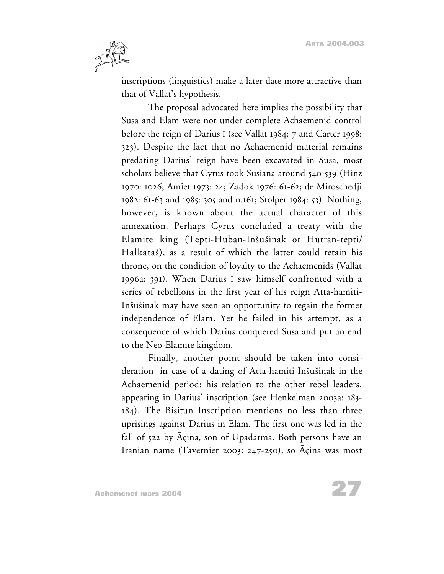

inscriptions (linguistics) make a later date more attractive than that of Vallat's hypothesis.

The proposal advocated here implies the possibility that Susa and Elam were not under complete Achaemenid control before the reign of Darius I (see Vallat 1984: 7 and Carter 1998: 323). Despite the fact that no Achaemenid material remains predating Darius' reign have been excavated in Susa, most scholars believe that Cyrus took Susiana around 540-539 (Hinz 1970: 1026; Amiet 1973: 24; Zadok 1976: 61-62; de Miroschedji 1982: 61-63 and 1985: 305 and n.161; Stolper 1984: 53). Nothing, however, is known about the actual character of this annexation. Perhaps Cyrus concluded a treaty with the Elamite king (Tepti-Huban-Insusinak or Hutran-tepti/ Halkatas), as a result of which the latter could retain his throne, on the condition of loyalty to the Achaemenids (Vallat 1996a: 391). When Darius I saw himself confronted with a series of rebellions in the first year of his reign Atta-hamiti-Inšušinak may have seen an opportunity to regain the former independence of Elam. Yet he failed in his attempt, as a consequence of which Darius conquered Susa and put an end to the Neo-Elamite kingdom.

Finally, another point should be taken into consideration, in case of a dating of Atta-hamiti-Inšušinak in the Achaemenid period: his relation to the other rebel leaders, appearing in Darius' inscription (see Henkelman 2003a: 183- 184). The Bisitun Inscription mentions no less than three uprisings against Darius in Elam. The first one was led in the fall of 522 by Açina, son of Upadarma. Both persons have an Iranian name (Tavernier 2003: 247-250), so Açina was most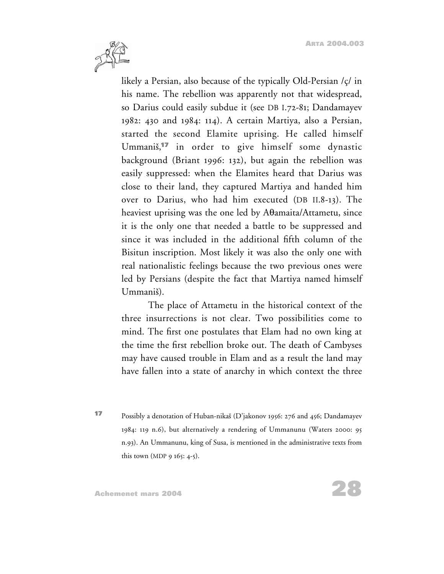

likely a Persian, also because of the typically Old-Persian /ç/ in his name. The rebellion was apparently not that widespread, so Darius could easily subdue it (see DB I.72-81; Dandamayev 1982: 430 and 1984: 114). A certain Martiya, also a Persian, started the second Elamite uprising. He called himself Ummanis, **<sup>17</sup>** in order to give himself some dynastic background (Briant 1996: 132), but again the rebellion was easily suppressed: when the Elamites heard that Darius was close to their land, they captured Martiya and handed him over to Darius, who had him executed (DB II.8-13). The heaviest uprising was the one led by  $A\theta$ amaita/Attametu, since it is the only one that needed a battle to be suppressed and since it was included in the additional fifth column of the Bisitun inscription. Most likely it was also the only one with real nationalistic feelings because the two previous ones were led by Persians (despite the fact that Martiya named himself Ummanis).

The place of Attametu in the historical context of the three insurrections is not clear. Two possibilities come to mind. The first one postulates that Elam had no own king at the time the first rebellion broke out. The death of Cambyses may have caused trouble in Elam and as a result the land may have fallen into a state of anarchy in which context the three

**<sup>17</sup>** Possibly a denotation of Huban-nikas (D'jakonov 1956: 276 and 456; Dandamayev 1984: 119 n.6), but alternatively a rendering of Ummanunu (Waters 2000: 95 n.93). An Ummanunu, king of Susa, is mentioned in the administrative texts from this town (MDP 9 165: 4-5).

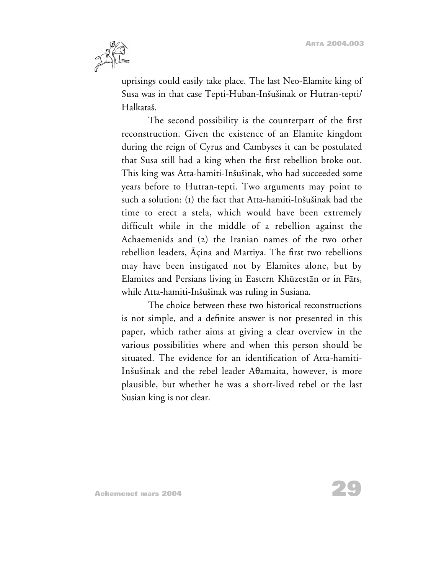

uprisings could easily take place. The last Neo-Elamite king of Susa was in that case Tepti-Huban-Insusinak or Hutran-tepti/ Halkatas.

The second possibility is the counterpart of the first reconstruction. Given the existence of an Elamite kingdom during the reign of Cyrus and Cambyses it can be postulated that Susa still had a king when the first rebellion broke out. This king was Atta-hamiti-Insusinak, who had succeeded some years before to Hutran-tepti. Two arguments may point to such a solution: (1) the fact that Atta-hamiti-Inšušinak had the time to erect a stela, which would have been extremely difficult while in the middle of a rebellion against the Achaemenids and (2) the Iranian names of the two other rebellion leaders, Açina and Martiya. The first two rebellions may have been instigated not by Elamites alone, but by Elamites and Persians living in Eastern Khuzestan or in Fars, while Atta-hamiti-Inšušinak was ruling in Susiana.

The choice between these two historical reconstructions is not simple, and a definite answer is not presented in this paper, which rather aims at giving a clear overview in the various possibilities where and when this person should be situated. The evidence for an identification of Atta-hamiti-Inšušinak and the rebel leader A<sub>d</sub>amaita, however, is more plausible, but whether he was a short-lived rebel or the last Susian king is not clear.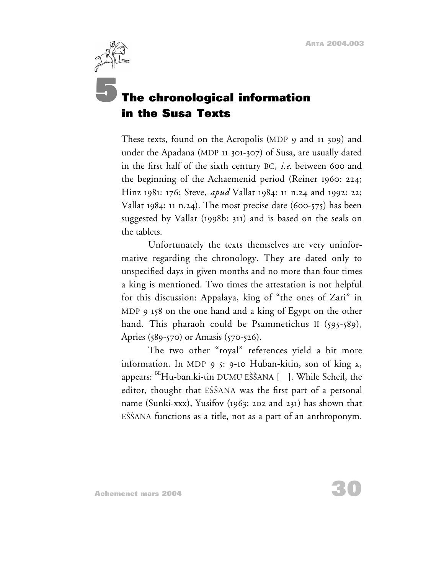# <span id="page-29-0"></span>**5The chronological information in the Susa Texts**

These texts, found on the Acropolis (MDP 9 and 11 309) and under the Apadana (MDP 11 301-307) of Susa, are usually dated in the first half of the sixth century BC, *i.e.* between 600 and the beginning of the Achaemenid period (Reiner 1960: 224; Hinz 1981: 176; Steve, *apud* Vallat 1984: 11 n.24 and 1992: 22; Vallat 1984: 11 n.24). The most precise date  $(600-575)$  has been suggested by Vallat (1998b: 311) and is based on the seals on the tablets.

Unfortunately the texts themselves are very uninformative regarding the chronology. They are dated only to unspecified days in given months and no more than four times a king is mentioned. Two times the attestation is not helpful for this discussion: Appalaya, king of "the ones of Zari" in MDP 9 158 on the one hand and a king of Egypt on the other hand. This pharaoh could be Psammetichus II (595-589), Apries (589-570) or Amasis (570-526).

The two other "royal" references yield a bit more information. In MDP 9 5: 9-10 Huban-kitin, son of king x, appears:  $\mathrm{^{BE}Hu}\text{-}{ban}.$ ki-tin DUMU EŠŠANA [  $\,$  ]. While Scheil, the editor, thought that EŠŠANA was the first part of a personal name (Sunki-xxx), Yusifov (1963: 202 and 231) has shown that EŠŠANA functions as a title, not as a part of an anthroponym.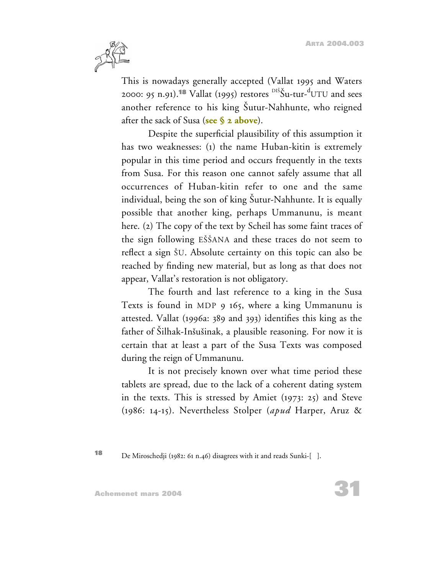

This is nowadays generally accepted (Vallat 1995 and Waters 2000: 95 n.91).<sup>18</sup> Vallat (1995) restores <sup>DIŠ</sup>Šu-tur-<sup>d</sup>UTU and sees another reference to his king Šutur-Nahhunte, who reigned after the sack of Susa (**[see § 2 above](#page-6-0)**).

Despite the superficial plausibility of this assumption it has two weaknesses: (1) the name Huban-kitin is extremely popular in this time period and occurs frequently in the texts from Susa. For this reason one cannot safely assume that all occurrences of Huban-kitin refer to one and the same individual, being the son of king Sutur-Nahhunte. It is equally possible that another king, perhaps Ummanunu, is meant here. (2) The copy of the text by Scheil has some faint traces of the sign following ESSANA and these traces do not seem to reflect a sign SU. Absolute certainty on this topic can also be reached by finding new material, but as long as that does not appear, Vallat's restoration is not obligatory.

The fourth and last reference to a king in the Susa Texts is found in MDP 9 165, where a king Ummanunu is attested. Vallat (1996a: 389 and 393) identifies this king as the father of Silhak-Inšušinak, a plausible reasoning. For now it is certain that at least a part of the Susa Texts was composed during the reign of Ummanunu.

It is not precisely known over what time period these tablets are spread, due to the lack of a coherent dating system in the texts. This is stressed by Amiet (1973: 25) and Steve (1986: 14-15). Nevertheless Stolper (*apud* Harper, Aruz &

**<sup>18</sup>** De Miroschedji (1982: 61 n.46) disagrees with it and reads Sunki-[ ].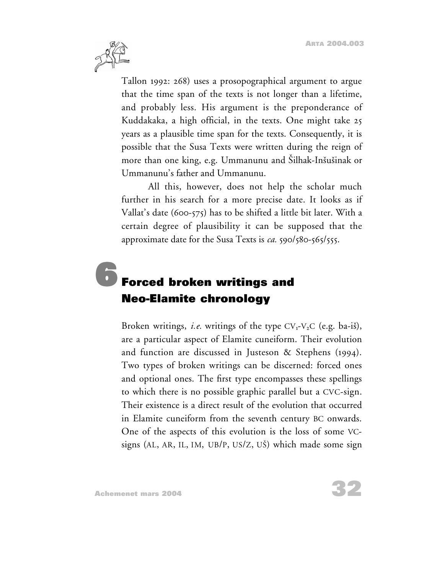<span id="page-31-0"></span>

Tallon 1992: 268) uses a prosopographical argument to argue that the time span of the texts is not longer than a lifetime, and probably less. His argument is the preponderance of Kuddakaka, a high official, in the texts. One might take 25 years as a plausible time span for the texts. Consequently, it is possible that the Susa Texts were written during the reign of more than one king, e.g. Ummanunu and Silhak-Inšušinak or Ummanunu's father and Ummanunu.

All this, however, does not help the scholar much further in his search for a more precise date. It looks as if Vallat's date (600-575) has to be shifted a little bit later. With a certain degree of plausibility it can be supposed that the approximate date for the Susa Texts is *ca.* 590/580-565/555.

# **6Forced broken writings and Neo-Elamite chronology**

Broken writings, *i.e.* writings of the type  $CV_1-V_2C$  (e.g. ba-is), are a particular aspect of Elamite cuneiform. Their evolution and function are discussed in Justeson & Stephens (1994). Two types of broken writings can be discerned: forced ones and optional ones. The first type encompasses these spellings to which there is no possible graphic parallel but a CVC-sign. Their existence is a direct result of the evolution that occurred in Elamite cuneiform from the seventh century BC onwards. One of the aspects of this evolution is the loss of some VCsigns (AL, AR, IL, IM, UB/P, US/Z, US) which made some sign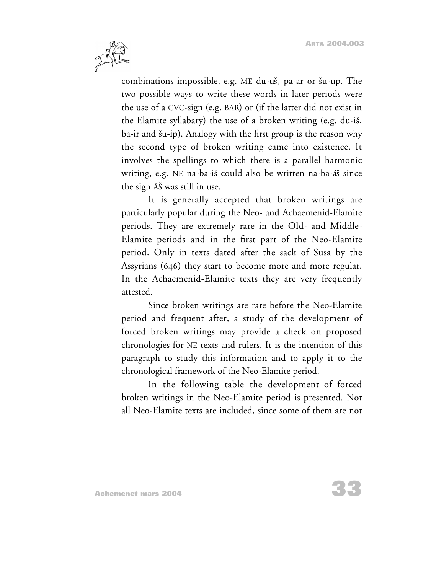

combinations impossible, e.g. ME du-uš, pa-ar or šu-up. The two possible ways to write these words in later periods were the use of a CVC-sign (e.g. BAR) or (if the latter did not exist in the Elamite syllabary) the use of a broken writing (e.g. du-is, ba-ir and šu-ip). Analogy with the first group is the reason why the second type of broken writing came into existence. It involves the spellings to which there is a parallel harmonic writing, e.g. NE na-ba-is could also be written na-ba-ás since the sign ÁS was still in use.

It is generally accepted that broken writings are particularly popular during the Neo- and Achaemenid-Elamite periods. They are extremely rare in the Old- and Middle-Elamite periods and in the first part of the Neo-Elamite period. Only in texts dated after the sack of Susa by the Assyrians (646) they start to become more and more regular. In the Achaemenid-Elamite texts they are very frequently attested.

Since broken writings are rare before the Neo-Elamite period and frequent after, a study of the development of forced broken writings may provide a check on proposed chronologies for NE texts and rulers. It is the intention of this paragraph to study this information and to apply it to the chronological framework of the Neo-Elamite period.

In the following table the development of forced broken writings in the Neo-Elamite period is presented. Not all Neo-Elamite texts are included, since some of them are not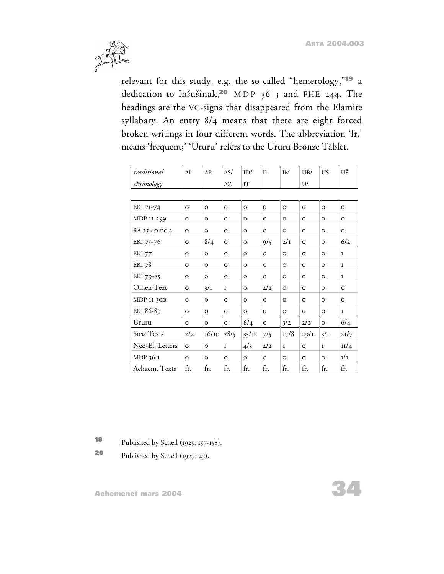

relevant for this study, e.g. the so-called "hemerology,"**<sup>19</sup>** a dedication to Insusinak,**<sup>20</sup>** MDP 36 3 and FHE 244. The headings are the VC-signs that disappeared from the Elamite syllabary. An entry 8/4 means that there are eight forced broken writings in four different words. The abbreviation 'fr.' means 'frequent;' 'Ururu' refers to the Ururu Bronze Tablet.

| traditional     | AI.     | AR       | AS/          | ID/     | $\Pi$ .        | IM           | UB/      | <b>US</b>    | UŠ           |
|-----------------|---------|----------|--------------|---------|----------------|--------------|----------|--------------|--------------|
| chronology      |         |          | AZ           | IT      |                |              | US       |              |              |
|                 |         |          |              |         |                |              |          |              |              |
| EKI 71-74       | $\circ$ | $\circ$  | $\circ$      | $\circ$ | O              | $\circ$      | $\circ$  | $\circ$      | $\circ$      |
| MDP 11 299      | O       | $\circ$  | $\circ$      | $\circ$ | $\circ$        | $\circ$      | $\circ$  | $\circ$      | $\circ$      |
| RA 25 40 no.3   | $\circ$ | $\circ$  | $\circ$      | $\circ$ | $\circ$        | $\circ$      | $\circ$  | $\circ$      | $\circ$      |
| EKI 75-76       | O       | 8/4      | $\circ$      | $\circ$ | 9/5            | 2/1          | $\circ$  | $\circ$      | 6/2          |
| <b>EKI</b> 77   | O       | $\circ$  | $\circ$      | $\circ$ | $\circ$        | $\circ$      | $\circ$  | $\circ$      | $\mathbf{1}$ |
| EKI 78          | O       | $\circ$  | $\circ$      | $\circ$ | O              | $\circ$      | $\circ$  | $\circ$      | $\mathbf{1}$ |
| EKI 79-85       | $\circ$ | $\circ$  | $\circ$      | $\circ$ | $\circ$        | $\circ$      | $\circ$  | $\circ$      | $\mathbf{1}$ |
| Omen Text       | $\circ$ | 3/1      | $\mathbf{1}$ | $\circ$ | 2/2            | $\circ$      | $\circ$  | $\circ$      | $\circ$      |
| MDP 11 300      | $\circ$ | $\Omega$ | $\circ$      | $\circ$ | $\circ$        | $\Omega$     | $\Omega$ | $\circ$      | $\Omega$     |
| EKI 86-89       | $\circ$ | $\circ$  | $\circ$      | $\circ$ | $\circ$        | $\circ$      | $\circ$  | $\circ$      | $\mathbf{1}$ |
| Ururu           | $\circ$ | $\circ$  | $\circ$      | 6/4     | $\circ$        | 3/2          | 2/2      | $\circ$      | 6/4          |
| Susa Texts      | 2/2     | 16/10    | 28/5         | 33/12   | $7\frac{1}{5}$ | 17/8         | 29/11    | 3/1          | 21/7         |
| Neo-El. Letters | $\circ$ | $\circ$  | $\mathbf{1}$ | 4/3     | 2/2            | $\mathbf{1}$ | $\circ$  | $\mathbf{1}$ | 11/4         |
| MDP 36 1        | $\circ$ | $\circ$  | $\circ$      | $\circ$ | O              | $\circ$      | $\circ$  | O            | 1/1          |
| Achaem. Texts   | fr.     | fr.      | fr.          | fr.     | fr.            | fr.          | fr.      | fr.          | fr.          |

**<sup>19</sup>** Published by Scheil (1925: 157-158).

**<sup>20</sup>** Published by Scheil (1927: 43).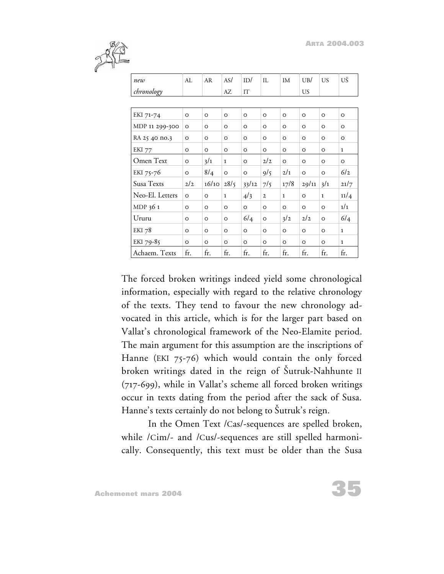

| new             | AI.     | AR       | AS/          | ID/      | II.          | IM           | UB/      | <b>US</b>    | UŠ           |
|-----------------|---------|----------|--------------|----------|--------------|--------------|----------|--------------|--------------|
| chronology      |         |          | AZ           | IT       |              |              | US.      |              |              |
|                 |         |          |              |          |              |              |          |              |              |
| EKI 71-74       | $\circ$ | $\circ$  | $\circ$      | $\circ$  | $\circ$      | $\circ$      | $\circ$  | $\circ$      | $\circ$      |
| MDP 11 299-300  | $\circ$ | $\circ$  | O            | O        | O            | O            | O        | O            | $\circ$      |
| RA 25 40 no.3   | $\circ$ | $\Omega$ | $\Omega$     | $\Omega$ | O            | O            | $\Omega$ | $\Omega$     | O            |
| EKI 77          | O       | $\circ$  | O            | O        | $\circ$      | O            | O        | O            | $\mathbf{1}$ |
| Omen Text       | $\circ$ | 3/1      | $\mathbf{1}$ | O        | 2/2          | $\circ$      | $\circ$  | $\circ$      | $\circ$      |
| EKI 75-76       | $\circ$ | 8/4      | $\circ$      | $\circ$  | 9/5          | 2/1          | $\circ$  | $\circ$      | 6/2          |
| Susa Texts      | 2/2     | 16/10    | 28/5         | 33/12    | 7/5          | 17/8         | 29/11    | 3/1          | 21/7         |
| Neo-El. Letters | $\circ$ | $\Omega$ | $\mathbf{1}$ | 4/3      | $\mathbf{2}$ | $\mathbf{1}$ | $\Omega$ | $\mathbf{1}$ | 11/4         |
| MDP 36 1        | $\circ$ | $\circ$  | $\circ$      | $\circ$  | $\circ$      | $\circ$      | $\circ$  | $\Omega$     | 1/1          |
| Ururu           | O       | $\circ$  | $\Omega$     | 6/4      | $\circ$      | 3/2          | 2/2      | $\Omega$     | 6/4          |
| <b>EKI</b> 78   | $\circ$ | $\circ$  | $\circ$      | $\circ$  | $\circ$      | $\circ$      | $\circ$  | $\circ$      | $\mathbf{1}$ |
| EKI 79-85       | $\circ$ | $\circ$  | $\circ$      | $\circ$  | O            | $\circ$      | $\Omega$ | $\Omega$     | $\mathbf{1}$ |
| Achaem. Texts   | fr.     | fr.      | fr.          | fr.      | fr.          | fr.          | fr.      | fr.          | fr.          |

The forced broken writings indeed yield some chronological information, especially with regard to the relative chronology of the texts. They tend to favour the new chronology advocated in this article, which is for the larger part based on Vallat's chronological framework of the Neo-Elamite period. The main argument for this assumption are the inscriptions of Hanne (EKI 75-76) which would contain the only forced broken writings dated in the reign of Sutruk-Nahhunte II (717-699), while in Vallat's scheme all forced broken writings occur in texts dating from the period after the sack of Susa. Hanne's texts certainly do not belong to Šutruk's reign.

In the Omen Text /Cas/-sequences are spelled broken, while /Cim/- and /Cus/-sequences are still spelled harmonically. Consequently, this text must be older than the Susa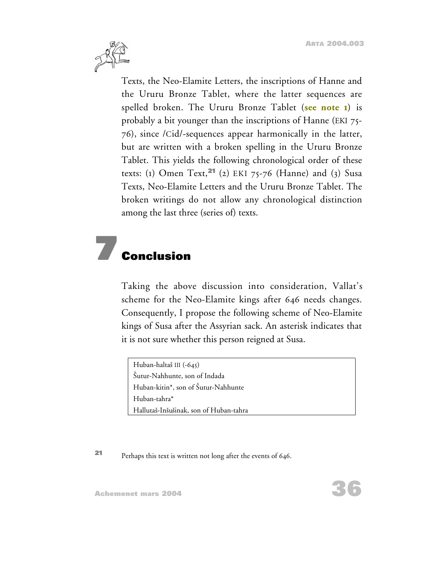

Texts, the Neo-Elamite Letters, the inscriptions of Hanne and the Ururu Bronze Tablet, where the latter sequences are spelled broken. The Ururu Bronze Tablet (**[see note 1](#page-1-0)**) is probably a bit younger than the inscriptions of Hanne (EKI 75- 76), since /Cid/-sequences appear harmonically in the latter, but are written with a broken spelling in the Ururu Bronze Tablet. This yields the following chronological order of these texts: (1) Omen Text,**<sup>21</sup>** (2) EKI 75-76 (Hanne) and (3) Susa Texts, Neo-Elamite Letters and the Ururu Bronze Tablet. The broken writings do not allow any chronological distinction among the last three (series of) texts.

# **7 Conclusion**

Taking the above discussion into consideration, Vallat's scheme for the Neo-Elamite kings after 646 needs changes. Consequently, I propose the following scheme of Neo-Elamite kings of Susa after the Assyrian sack. An asterisk indicates that it is not sure whether this person reigned at Susa.

```
Huban-haltas III (-645)
Sutur-Nahhunte, son of Indada
Huban-kitin*, son of Sutur-Nahhunte
Huban-tahra*
Hallutaš-Inšušinak, son of Huban-tahra
```
**<sup>21</sup>** Perhaps this text is written not long after the events of 646.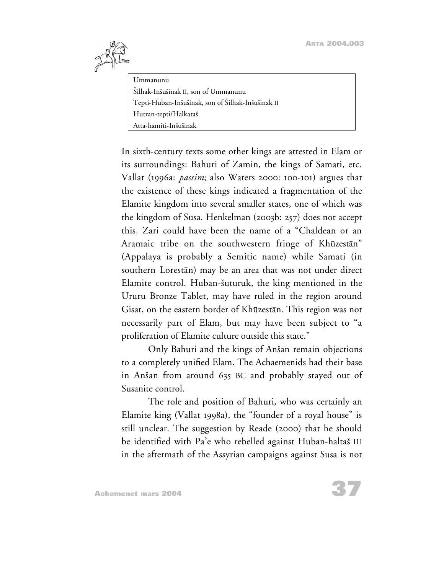

Ummanunu Silhak-Insusinak II, son of Ummanunu Tepti-Huban-Insusinak, son of Silhak-Insusinak II Hutran-tepti/Halkatas Atta-hamiti-Inšušinak

In sixth-century texts some other kings are attested in Elam or its surroundings: Bahuri of Zamin, the kings of Samati, etc. Vallat (1996a: *passim*; also Waters 2000: 100-101) argues that the existence of these kings indicated a fragmentation of the Elamite kingdom into several smaller states, one of which was the kingdom of Susa. Henkelman (2003b: 257) does not accept this. Zari could have been the name of a "Chaldean or an Aramaic tribe on the southwestern fringe of Khūzestān" (Appalaya is probably a Semitic name) while Samati (in southern Lorestan) may be an area that was not under direct Elamite control. Huban-šuturuk, the king mentioned in the Ururu Bronze Tablet, may have ruled in the region around Gisat, on the eastern border of Khuzestan. This region was not necessarily part of Elam, but may have been subject to "a proliferation of Elamite culture outside this state."

Only Bahuri and the kings of Anšan remain objections to a completely unified Elam. The Achaemenids had their base in Anšan from around 635 BC and probably stayed out of Susanite control.

The role and position of Bahuri, who was certainly an Elamite king (Vallat 1998a), the "founder of a royal house" is still unclear. The suggestion by Reade (2000) that he should be identified with Pa'e who rebelled against Huban-haltaš III in the aftermath of the Assyrian campaigns against Susa is not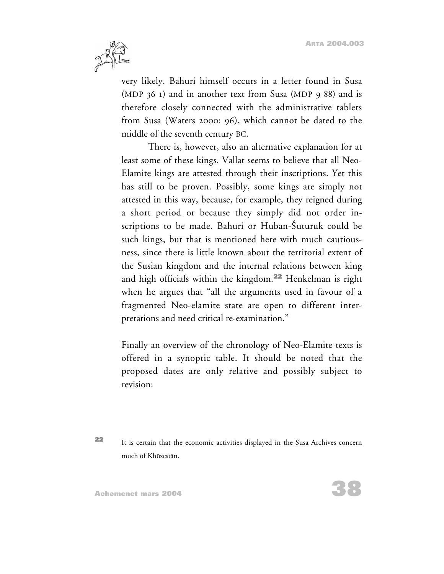

very likely. Bahuri himself occurs in a letter found in Susa (MDP 36 1) and in another text from Susa (MDP 9 88) and is therefore closely connected with the administrative tablets from Susa (Waters 2000: 96), which cannot be dated to the middle of the seventh century BC.

There is, however, also an alternative explanation for at least some of these kings. Vallat seems to believe that all Neo-Elamite kings are attested through their inscriptions. Yet this has still to be proven. Possibly, some kings are simply not attested in this way, because, for example, they reigned during a short period or because they simply did not order inscriptions to be made. Bahuri or Huban-Šuturuk could be such kings, but that is mentioned here with much cautiousness, since there is little known about the territorial extent of the Susian kingdom and the internal relations between king and high officials within the kingdom.**<sup>22</sup>** Henkelman is right when he argues that "all the arguments used in favour of a fragmented Neo-elamite state are open to different interpretations and need critical re-examination."

Finally an overview of the chronology of Neo-Elamite texts is offered in a synoptic table. It should be noted that the proposed dates are only relative and possibly subject to revision:

**<sup>22</sup>** It is certain that the economic activities displayed in the Susa Archives concern much of Khūzestān.

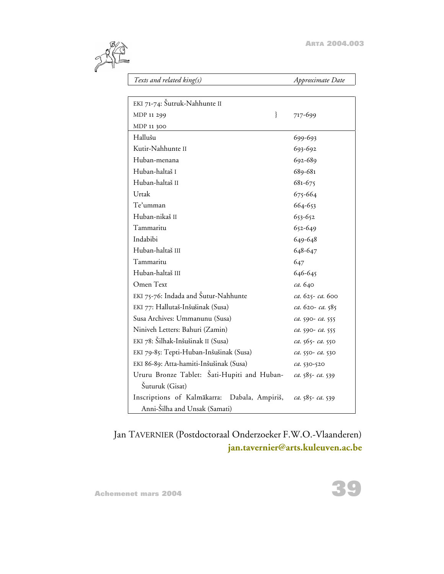

*Texts and related king(s) Approximate Date*

| EKI 71-74: Šutruk-Nahhunte II                |                  |
|----------------------------------------------|------------------|
| $\}$<br>MDP 11 299                           | 717-699          |
| MDP 11 300                                   |                  |
| Hallušu                                      | 699-693          |
| Kutir-Nahhunte II                            | 693-692          |
| Huban-menana                                 | 692-689          |
| Huban-haltaš I                               | 689-681          |
| Huban-haltaš II                              | 681-675          |
| Urtak                                        | 675-664          |
| Te'umman                                     | 664-653          |
| Huban-nikaš II                               | 653-652          |
| Tammaritu                                    | 652-649          |
| Indabibi                                     | 649-648          |
| Huban-haltaš III                             | 648-647          |
| Tammaritu                                    | 647              |
| Huban-haltaš III                             | 646-645          |
| Omen Text                                    | ca. 640          |
| EKI 75-76: Indada and Šutur-Nahhunte         | ca. 625- ca. 600 |
| EKI 77: Hallutaš-Inšušinak (Susa)            | ca. 620-ca. 585  |
| Susa Archives: Ummanunu (Susa)               | ca. 590- ca. 555 |
| Niniveh Letters: Bahuri (Zamin)              | ca. 590- ca. 555 |
| EKI 78: Šilhak-Inšušinak II (Susa)           | ca. 565- ca. 550 |
| EKI 79-85: Tepti-Huban-Inšušinak (Susa)      | ca. 550- ca. 530 |
| EKI 86-89: Atta-hamiti-Inšušinak (Susa)      | ca. 530-520      |
| Ururu Bronze Tablet: Šati-Hupiti and Huban-  | ca. 585-ca. 539  |
| Šuturuk (Gisat)                              |                  |
| Inscriptions of Kalmākarra: Dabala, Ampiriš, | ca. 585- ca. 539 |
| Anni-Šilha and Unsak (Samati)                |                  |

Jan TAVERNIER (Postdoctoraal Onderzoeker F.W.O.-Vlaanderen) **[jan.tavernier@arts.kuleuven.ac.be](mailto:jan.tavernier@arts.kuleuven.ac.be)**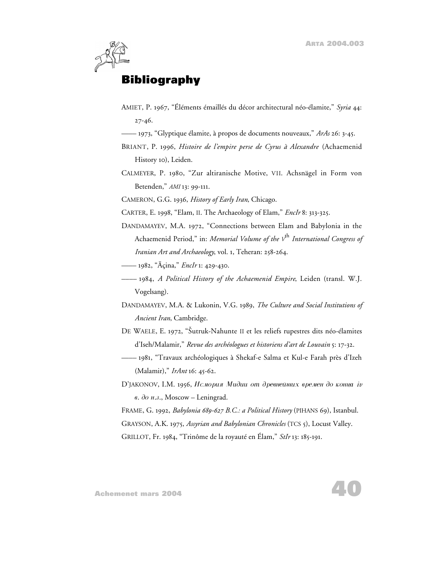

### **Bibliography**

- AMIET, P. 1967, "Éléments émaillés du décor architectural néo-élamite," *Syria* 44: 27-46.
- –––– 1973, "Glyptique élamite, à propos de documents nouveaux," *ArAs* 26: 3-45.
- BRIANT, P. 1996, *Histoire de l'empire perse de Cyrus à Alexandre* (Achaemenid History 10), Leiden.
- CALMEYER, P. 1980, "Zur altiranische Motive, VII. Achsnägel in Form von Betenden," *AMI* 13: 99-111.

CAMERON, G.G. 1936, *History of Early Iran*, Chicago.

- CARTER, E. 1998, "Elam, II. The Archaeology of Elam," *EncIr* 8: 313-325.
- DANDAMAYEV, M.A. 1972, "Connections between Elam and Babylonia in the Achaemenid Period," in: *Memorial Volume of the V*th *International Congress of Iranian Art and Archaeology*, vol. 1, Teheran: 258-264.
- –––– 1982, "Açina," *EncIr* 1: 429-430.
- –––– 1984, *A Political History of the Achaemenid Empire*, Leiden (transl. W.J. Vogelsang).
- DANDAMAYEV, M.A. & Lukonin, V.G. 1989, *The Culture and Social Institutions of Ancient Iran*, Cambridge.
- DE WAELE, E. 1972, "Sutruk-Nahunte II et les reliefs rupestres dits néo-élamites d'Iseh/Malamir," *Revue des archéologues et historiens d'art de Louvain* 5: 17-32.
- –––– 1981, "Travaux archéologiques à Shekaf-e Salma et Kul-e Farah près d'Izeh (Malamir)," *IrAnt* 16: 45-62.
- D'JAKONOV, I.M. 1956, *Исмория Мидии от древнейших времен до конца <i>iv*  $\theta$ .  $\partial \theta$   $\mu$ .<sub>2</sub>., Moscow – Leningrad.
- FRAME, G. 1992, *Babylonia 689-627 B.C.: a Political History* (PIHANS 69), Istanbul. GRAYSON, A.K. 1975, *Assyrian and Babylonian Chronicles* (TCS 5), Locust Valley.
- GRILLOT, Fr. 1984, "Trinôme de la royauté en Élam," *StIr* 13: 185-191.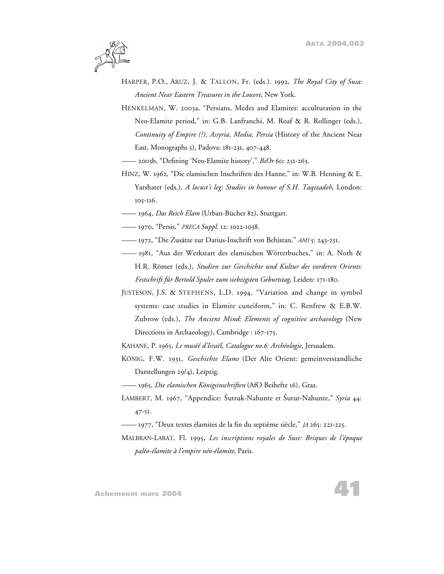

- HARPER, P.O., ARUZ, J. & TALLON, Fr. (eds.). 1992, *The Royal City of Susa: Ancient Near Eastern Treasures in the Louvre*, New York.
- HENKELMAN, W. 2003a, "Persians, Medes and Elamites: acculturation in the Neo-Elamite period," in: G.B. Lanfranchi, M. Roaf & R. Rollinger (eds.), *Continuity of Empire (?), Assyria, Media, Persia* (History of the Ancient Near East, Monographs 5), Padova: 181-231, 407-448.
- –––– 2003b, "Defining 'Neo-Elamite history'," *BiOr* 60: 251-263.
- HINZ, W. 1962, "Die elamischen Inschriften des Hanne," in: W.B. Henning & E. Yarshater (eds.), *A locust's leg: Studies in honour of S.H. Taqizadeh*, London: 105-116.
- –––– 1964, *Das Reich Elam* (Urban-Bücher 82), Stuttgart.
- –––– 1970, "Persis," *PRECA Suppl.* 12: 1022-1038.
- –––– 1972, "Die Zusätze zur Darius-Inschrift von Behistan," *AMI* 5: 243-251.
- –––– 1981, "Aus der Werkstatt des elamischen Wörterbuches," in: A. Noth & H.R. Römer (eds.), *Studien zur Geschichte und Kultur des vorderen Orients: Festschrift für Bertold Spuler zum siebzigsten Geburtstag*, Leiden: 171-180.
- JUSTESON, J.S. & STEPHENS, L.D. 1994, "Variation and change in symbol systems: case studies in Elamite cuneiform," in: C. Renfrew & E.B.W. Zubrow (eds.), *The Ancient Mind: Elements of cognitive archaeology* (New Directions in Archaeology), Cambridge : 167-175.
- KAHANE, P. 1965, *Le muséé d'Israël*, *Catalogue no.6: Archéologie*, Jerusalem.
- KÖNIG, F.W. 1931, *Geschichte Elams* (Der Alte Orient: gemeinverstandliche Darstellungen 29/4), Leipzig.
- –––– 1965, *Die elamischen Königsinschriften* (AfO Beihefte 16), Graz.
- LAMBERT, M. 1967, "Appendice: Šutruk-Nahunte et Šutur-Nahunte," Syria 44: 47-51.
- –––– 1977, "Deux textes élamites de la fin du septième siècle," *JA* 265: 221-225.
- MALBRAN-LABAT, Fl. 1995, *Les inscriptions royales de Suse: Briques de l'époque paléo-élamite à l'empire néo-élamite*, Paris.

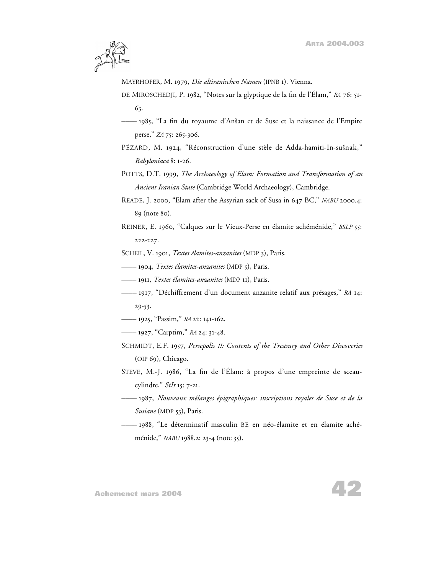

MAYRHOFER, M. 1979, *Die altiranischen Namen* (IPNB 1). Vienna.

- DE MIROSCHEDJI, P. 1982, "Notes sur la glyptique de la fin de l'Élam," *RA* 76: 51- 63.
- –––– 1985, "La fin du royaume d'Ansan et de Suse et la naissance de l'Empire perse," *ZA* 75: 265-306.
- PÉZARD, M. 1924, "Réconstruction d'une stèle de Adda-hamiti-In-susnak," *Babyloniaca* 8: 1-26.
- POTTS, D.T. 1999, *The Archaeology of Elam: Formation and Transformation of an Ancient Iranian State* (Cambridge World Archaeology), Cambridge.
- READE, J. 2000, "Elam after the Assyrian sack of Susa in 647 BC," *NABU* 2000.4: 89 (note 80).
- REINER, E. 1960, "Calques sur le Vieux-Perse en élamite achéménide," *BSLP* 55: 222-227.

SCHEIL, V. 1901, *Textes élamites-anzanites* (MDP 3), Paris.

- –––– 1904, *Textes élamites-anzanites* (MDP 5), Paris.
- –––– 1911, *Textes élamites-anzanites* (MDP 11), Paris.
- –––– 1917, "Déchiffrement d'un document anzanite relatif aux présages," *RA* 14: 29-53.
- –––– 1925, "Passim," *RA* 22: 141-162.
- –––– 1927, "Carptim," *RA* 24: 31-48.
- SCHMIDT, E.F. 1957, *Persepolis II: Contents of the Treasury and Other Discoveries* (OIP 69), Chicago.
- STEVE, M.-J. 1986, "La fin de l'Élam: à propos d'une empreinte de sceaucylindre," *StIr* 15: 7-21.
- –––– 1987, *Nouveaux mélanges épigraphiques: inscriptions royales de Suse et de la Susiane* (MDP 53), Paris.
- –––– 1988, "Le déterminatif masculin BE en néo-élamite et en élamite achéménide," *NABU* 1988.2: 23-4 (note 35).

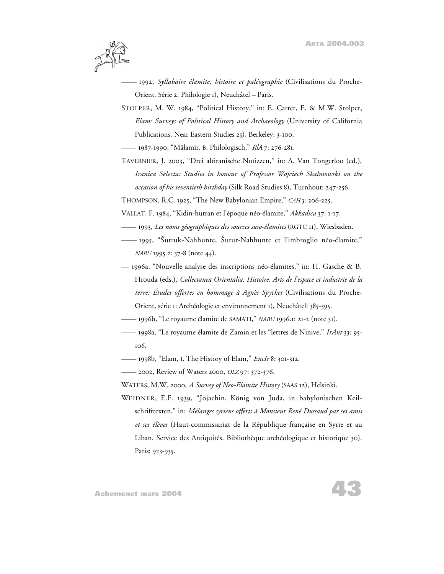

- –––– 1992, *Syllabaire élamite, histoire et paléographie* (Civilisations du Proche-Orient. Série 2. Philologie 1), Neuchâtel – Paris.
- STOLPER, M. W. 1984, "Political History," in: E. Carter, E. & M.W. Stolper, *Elam: Surveys of Political History and Archaeology* (University of California Publications. Near Eastern Studies 25), Berkeley: 3-100.

–––– 1987-1990, "Malamir, B. Philologisch," *RlA* 7: 276-281.

- TAVERNIER, J. 2003, "Drei altiranische Notizzen," in: A. Van Tongerloo (ed.), *Iranica Selecta: Studies in honour of Professor Wojciech Skalmowski on the occasion of his seventieth birthday* (Silk Road Studies 8), Turnhout: 247-256.
- THOMPSON, R.C. 1925, "The New Babylonian Empire," *CAH* 3: 206-225.
- VALLAT, F. 1984, "Kidin-hutran et l'époque néo-élamite," *Akkadica* 37: 1-17.
- –––– 1993, *Les noms géographiques des sources suso-élamites* (RGTC 11), Wiesbaden.
- –––– 1995, "Sutruk-Nahhunte, Sutur-Nahhunte et l'imbroglio néo-élamite," *NABU* 1995.2: 37-8 (note 44).
- 1996a, "Nouvelle analyse des inscriptions néo-élamites," in: H. Gasche & B. Hrouda (eds.), *Collectanea Orientalia. Histoire, Arts de l'espace et industrie de la terre: Études offertes en hommage à Agnès Spycket* (Civilisations du Proche-Orient, série 1: Archéologie et environnement 1), Neuchâtel: 385-395.
- –––– 1996b, "Le royaume élamite de SAMATI," *NABU* 1996.1: 21-2 (note 31).
- –––– 1998a, "Le royaume élamite de Zamin et les "lettres de Ninive," *IrAnt* 33: 95- 106.
- –––– 1998b, "Elam, I. The History of Elam," *EncIr* 8: 301-312.

–––– 2002, Review of Waters 2000, *OLZ* 97: 372-376.

- WATERS, M.W. 2000, *A Survey of Neo-Elamite History* (SAAS 12), Helsinki.
- WEIDNER, E.F. 1939, "Jojachin, König von Juda, in babylonischen Keilschrifttexten," in: *Mélanges syriens offerts à Monsieur René Dussaud par ses amis et ses élèves* (Haut-commissariat de la République française en Syrie et au Liban. Service des Antiquités. Bibliothèque archéologique et historique 30). Paris: 923-935.